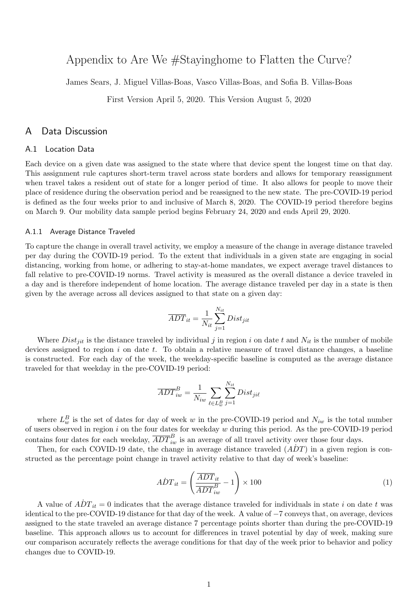# Appendix to Are We #Stayinghome to Flatten the Curve?

James Sears, J. Miguel Villas-Boas, Vasco Villas-Boas, and Sofia B. Villas-Boas

First Version April 5, 2020. This Version August 5, 2020

## A Data Discussion

### A.1 Location Data

Each device on a given date was assigned to the state where that device spent the longest time on that day. This assignment rule captures short-term travel across state borders and allows for temporary reassignment when travel takes a resident out of state for a longer period of time. It also allows for people to move their place of residence during the observation period and be reassigned to the new state. The pre-COVID-19 period is defined as the four weeks prior to and inclusive of March 8, 2020. The COVID-19 period therefore begins on March 9. Our mobility data sample period begins February 24, 2020 and ends April 29, 2020.

#### A.1.1 Average Distance Traveled

To capture the change in overall travel activity, we employ a measure of the change in average distance traveled per day during the COVID-19 period. To the extent that individuals in a given state are engaging in social distancing, working from home, or adhering to stay-at-home mandates, we expect average travel distances to fall relative to pre-COVID-19 norms. Travel activity is measured as the overall distance a device traveled in a day and is therefore independent of home location. The average distance traveled per day in a state is then given by the average across all devices assigned to that state on a given day:

$$
\overline{ADT}_{it} = \frac{1}{N_{it}} \sum_{j=1}^{N_{it}} Dist_{jit}
$$

Where  $Dist_{jit}$  is the distance traveled by individual j in region i on date t and  $N_{it}$  is the number of mobile devices assigned to region  $i$  on date  $t$ . To obtain a relative measure of travel distance changes, a baseline is constructed. For each day of the week, the weekday-specific baseline is computed as the average distance traveled for that weekday in the pre-COVID-19 period:

$$
\overline{ADT}_{iw}^B = \frac{1}{N_{iw}} \sum_{\ell \in L_w^B} \sum_{j=1}^{N_{it}} Dist_{ji\ell}
$$

where  $L_w^B$  is the set of dates for day of week w in the pre-COVID-19 period and  $N_{iw}$  is the total number of users observed in region  $i$  on the four dates for weekday  $w$  during this period. As the pre-COVID-19 period contains four dates for each weekday,  $\overline{ADT}_{iw}^B$  is an average of all travel activity over those four days.

Then, for each COVID-19 date, the change in average distance traveled  $(ADT)$  in a given region is constructed as the percentage point change in travel activity relative to that day of week's baseline:

$$
\dot{AD}T_{it} = \left(\frac{\overline{ADT}_{it}}{\overline{ADT}_{iw}^B} - 1\right) \times 100\tag{1}
$$

A value of  $\overrightarrow{ADT}_{it} = 0$  indicates that the average distance traveled for individuals in state i on date t was identical to the pre-COVID-19 distance for that day of the week. A value of −7 conveys that, on average, devices assigned to the state traveled an average distance 7 percentage points shorter than during the pre-COVID-19 baseline. This approach allows us to account for differences in travel potential by day of week, making sure our comparison accurately reflects the average conditions for that day of the week prior to behavior and policy changes due to COVID-19.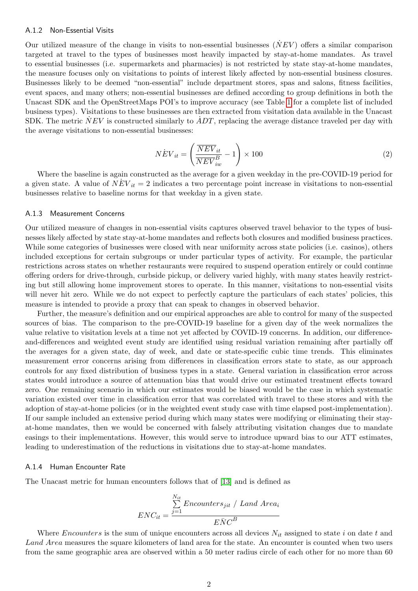#### A.1.2 Non-Essential Visits

Our utilized measure of the change in visits to non-essential businesses  $(NEV)$  offers a similar comparison targeted at travel to the types of businesses most heavily impacted by stay-at-home mandates. As travel to essential businesses (i.e. supermarkets and pharmacies) is not restricted by state stay-at-home mandates, the measure focuses only on visitations to points of interest likely affected by non-essential business closures. Businesses likely to be deemed "non-essential" include department stores, spas and salons, fitness facilities, event spaces, and many others; non-essential businesses are defined according to group definitions in both the Unacast SDK and the OpenStreetMaps POI's to improve accuracy (see Table [1](#page-2-0) for a complete list of included business types). Visitations to these businesses are then extracted from visitation data available in the Unacast SDK. The metric  $\dot{N}EV$  is constructed similarly to  $\dot{A}DT$ , replacing the average distance traveled per day with the average visitations to non-essential businesses:

$$
N\dot{E}V_{it} = \left(\frac{\overline{NEV}_{it}}{\overline{NEV}_{iw}^B} - 1\right) \times 100\tag{2}
$$

Where the baseline is again constructed as the average for a given weekday in the pre-COVID-19 period for a given state. A value of  $NEV_{it} = 2$  indicates a two percentage point increase in visitations to non-essential businesses relative to baseline norms for that weekday in a given state.

#### A.1.3 Measurement Concerns

Our utilized measure of changes in non-essential visits captures observed travel behavior to the types of businesses likely affected by state stay-at-home mandates and reflects both closures and modified business practices. While some categories of businesses were closed with near uniformity across state policies (i.e. casinos), others included exceptions for certain subgroups or under particular types of activity. For example, the particular restrictions across states on whether restaurants were required to suspend operation entirely or could continue offering orders for drive-through, curbside pickup, or delivery varied highly, with many states heavily restricting but still allowing home improvement stores to operate. In this manner, visitations to non-essential visits will never hit zero. While we do not expect to perfectly capture the particulars of each states' policies, this measure is intended to provide a proxy that can speak to changes in observed behavior.

Further, the measure's definition and our empirical approaches are able to control for many of the suspected sources of bias. The comparison to the pre-COVID-19 baseline for a given day of the week normalizes the value relative to visitation levels at a time not yet affected by COVID-19 concerns. In addition, our differenceand-differences and weighted event study are identified using residual variation remaining after partially off the averages for a given state, day of week, and date or state-specific cubic time trends. This eliminates measurement error concerns arising from differences in classification errors state to state, as our approach controls for any fixed distribution of business types in a state. General variation in classification error across states would introduce a source of attenuation bias that would drive our estimated treatment effects toward zero. One remaining scenario in which our estimates would be biased would be the case in which systematic variation existed over time in classification error that was correlated with travel to these stores and with the adoption of stay-at-home policies (or in the weighted event study case with time elapsed post-implementation). If our sample included an extensive period during which many states were modifying or eliminating their stayat-home mandates, then we would be concerned with falsely attributing visitation changes due to mandate easings to their implementations. However, this would serve to introduce upward bias to our ATT estimates, leading to underestimation of the reductions in visitations due to stay-at-home mandates.

#### A.1.4 Human Encounter Rate

The Unacast metric for human encounters follows that of [\[13\]](#page-38-0) and is defined as

$$
ENC_{it} = \frac{\sum_{j=1}^{N_{it}}Enocunters_{jit}}{ENC^B}
$$

Where *Encounters* is the sum of unique encounters across all devices  $N_{it}$  assigned to state i on date t and Land Area measures the square kilometers of land area for the state. An encounter is counted when two users from the same geographic area are observed within a 50 meter radius circle of each other for no more than 60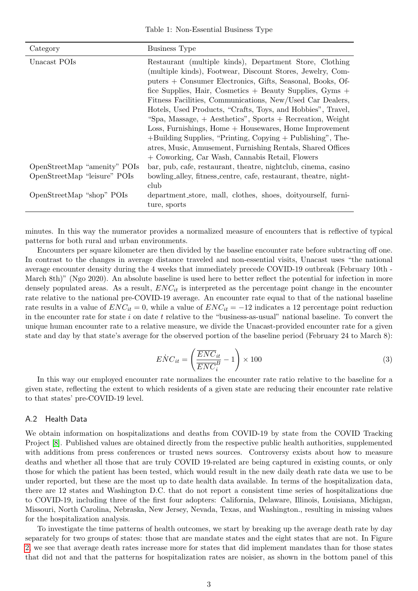<span id="page-2-0"></span>

| Category                     | <b>Business Type</b>                                                                                                                                                                                                                                                                                                                                                                                                                                                                                                                                                                                                                                                                            |
|------------------------------|-------------------------------------------------------------------------------------------------------------------------------------------------------------------------------------------------------------------------------------------------------------------------------------------------------------------------------------------------------------------------------------------------------------------------------------------------------------------------------------------------------------------------------------------------------------------------------------------------------------------------------------------------------------------------------------------------|
| Unacast POIs                 | Restaurant (multiple kinds), Department Store, Clothing<br>(multiple kinds), Footwear, Discount Stores, Jewelry, Com-<br>puters + Consumer Electronics, Gifts, Seasonal, Books, Of-<br>fice Supplies, Hair, Cosmetics + Beauty Supplies, $Gyms +$<br>Fitness Facilities, Communications, New/Used Car Dealers,<br>Hotels, Used Products, "Crafts, Toys, and Hobbies", Travel,<br>"Spa, Massage, $+$ Aesthetics", Sports $+$ Recreation, Weight<br>$Loss, Furnishings, Home + Housewaves, Home Improvement$<br>$+$ Building Supplies, "Printing, Copying $+$ Publishing", The-<br>atres, Music, Amusement, Furnishing Rentals, Shared Offices<br>+ Coworking, Car Wash, Cannabis Retail, Flowers |
| OpenStreetMap "amenity" POIs | bar, pub, cafe, restaurant, theatre, nightclub, cinema, casino                                                                                                                                                                                                                                                                                                                                                                                                                                                                                                                                                                                                                                  |
| OpenStreetMap "leisure" POIs | bowling_alley, fitness_centre, cafe, restaurant, theatre, night-<br>club                                                                                                                                                                                                                                                                                                                                                                                                                                                                                                                                                                                                                        |
| OpenStreetMap "shop" POIs    | department_store, mall, clothes, shoes, doityourself, furni-<br>ture, sports                                                                                                                                                                                                                                                                                                                                                                                                                                                                                                                                                                                                                    |

minutes. In this way the numerator provides a normalized measure of encounters that is reflective of typical patterns for both rural and urban environments.

Encounters per square kilometer are then divided by the baseline encounter rate before subtracting off one. In contrast to the changes in average distance traveled and non-essential visits, Unacast uses "the national average encounter density during the 4 weeks that immediately precede COVID-19 outbreak (February 10th - March 8th)" (Ngo 2020). An absolute baseline is used here to better reflect the potential for infection in more densely populated areas. As a result,  $ENC_{it}$  is interpreted as the percentage point change in the encounter rate relative to the national pre-COVID-19 average. An encounter rate equal to that of the national baseline rate results in a value of  $ENC_{it} = 0$ , while a value of  $ENC_{it} = -12$  indicates a 12 percentage point reduction in the encounter rate for state  $i$  on date  $t$  relative to the "business-as-usual" national baseline. To convert the unique human encounter rate to a relative measure, we divide the Unacast-provided encounter rate for a given state and day by that state's average for the observed portion of the baseline period (February 24 to March 8):

$$
\dot{ENC}_{it} = \left(\frac{\overline{ENC}_{it}}{\overline{ENC}_{i}^B} - 1\right) \times 100\tag{3}
$$

In this way our employed encounter rate normalizes the encounter rate ratio relative to the baseline for a given state, reflecting the extent to which residents of a given state are reducing their encounter rate relative to that states' pre-COVID-19 level.

### A.2 Health Data

We obtain information on hospitalizations and deaths from COVID-19 by state from the COVID Tracking Project [\[8\]](#page-38-1). Published values are obtained directly from the respective public health authorities, supplemented with additions from press conferences or trusted news sources. Controversy exists about how to measure deaths and whether all those that are truly COVID 19-related are being captured in existing counts, or only those for which the patient has been tested, which would result in the new daily death rate data we use to be under reported, but these are the most up to date health data available. In terms of the hospitalization data, there are 12 states and Washington D.C. that do not report a consistent time series of hospitalizations due to COVID-19, including three of the first four adopters: California, Delaware, Illinois, Louisiana, Michigan, Missouri, North Carolina, Nebraska, New Jersey, Nevada, Texas, and Washington., resulting in missing values for the hospitalization analysis.

To investigate the time patterns of health outcomes, we start by breaking up the average death rate by day separately for two groups of states: those that are mandate states and the eight states that are not. In Figure [2,](#page-4-0) we see that average death rates increase more for states that did implement mandates than for those states that did not and that the patterns for hospitalization rates are noisier, as shown in the bottom panel of this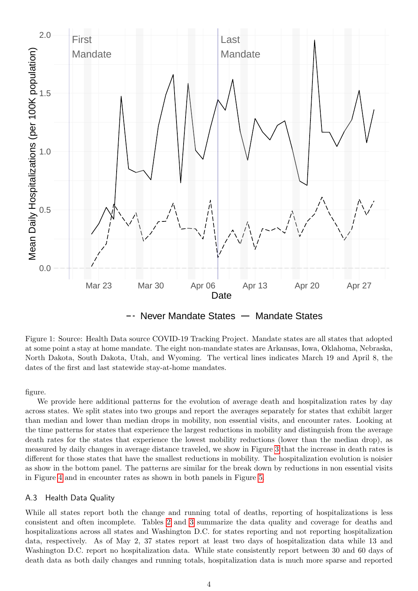

Never Mandate States  $-$  Mandate States

Figure 1: Source: Health Data source COVID-19 Tracking Project. Mandate states are all states that adopted at some point a stay at home mandate. The eight non-mandate states are Arkansas, Iowa, Oklahoma, Nebraska, North Dakota, South Dakota, Utah, and Wyoming. The vertical lines indicates March 19 and April 8, the dates of the first and last statewide stay-at-home mandates.

figure.

We provide here additional patterns for the evolution of average death and hospitalization rates by day across states. We split states into two groups and report the averages separately for states that exhibit larger than median and lower than median drops in mobility, non essential visits, and encounter rates. Looking at the time patterns for states that experience the largest reductions in mobility and distinguish from the average death rates for the states that experience the lowest mobility reductions (lower than the median drop), as measured by daily changes in average distance traveled, we show in Figure [3](#page-5-0) that the increase in death rates is different for those states that have the smallest reductions in mobility. The hospitalization evolution is noisier as show in the bottom panel. The patterns are similar for the break down by reductions in non essential visits in Figure [4](#page-7-0) and in encounter rates as shown in both panels in Figure [5.](#page-8-0)

### A.3 Health Data Quality

While all states report both the change and running total of deaths, reporting of hospitalizations is less consistent and often incomplete. Tables [2](#page-6-0) and [3](#page-9-0) summarize the data quality and coverage for deaths and hospitalizations across all states and Washington D.C. for states reporting and not reporting hospitalization data, respectively. As of May 2, 37 states report at least two days of hospitalization data while 13 and Washington D.C. report no hospitalization data. While state consistently report between 30 and 60 days of death data as both daily changes and running totals, hospitalization data is much more sparse and reported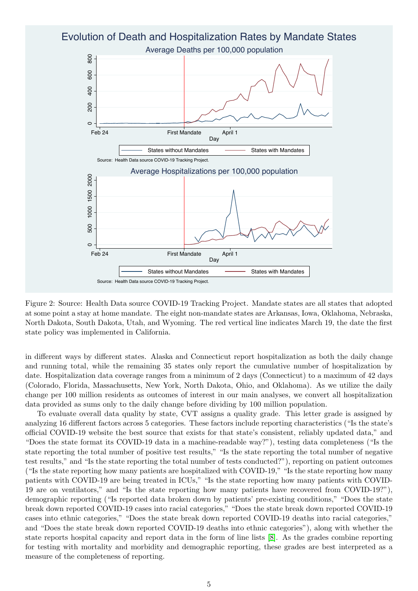<span id="page-4-0"></span>

Figure 2: Source: Health Data source COVID-19 Tracking Project. Mandate states are all states that adopted at some point a stay at home mandate. The eight non-mandate states are Arkansas, Iowa, Oklahoma, Nebraska, North Dakota, South Dakota, Utah, and Wyoming. The red vertical line indicates March 19, the date the first state policy was implemented in California.

in different ways by different states. Alaska and Connecticut report hospitalization as both the daily change and running total, while the remaining 35 states only report the cumulative number of hospitalization by date. Hospitalization data coverage ranges from a minimum of 2 days (Connecticut) to a maximum of 42 days (Colorado, Florida, Massachusetts, New York, North Dakota, Ohio, and Oklahoma). As we utilize the daily change per 100 million residents as outcomes of interest in our main analyses, we convert all hospitalization data provided as sums only to the daily change before dividing by 100 million population.

To evaluate overall data quality by state, CVT assigns a quality grade. This letter grade is assigned by analyzing 16 different factors across 5 categories. These factors include reporting characteristics ("Is the state's official COVID-19 website the best source that exists for that state's consistent, reliably updated data," and "Does the state format its COVID-19 data in a machine-readable way?"), testing data completeness ("Is the state reporting the total number of positive test results," "Is the state reporting the total number of negative test results," and "Is the state reporting the total number of tests conducted?"), reporting on patient outcomes ("Is the state reporting how many patients are hospitalized with COVID-19," "Is the state reporting how many patients with COVID-19 are being treated in ICUs," "Is the state reporting how many patients with COVID-19 are on ventilators," and "Is the state reporting how many patients have recovered from COVID-19?"), demographic reporting ("Is reported data broken down by patients' pre-existing conditions," "Does the state break down reported COVID-19 cases into racial categories," "Does the state break down reported COVID-19 cases into ethnic categories," "Does the state break down reported COVID-19 deaths into racial categories," and "Does the state break down reported COVID-19 deaths into ethnic categories"), along with whether the state reports hospital capacity and report data in the form of line lists [\[8\]](#page-38-1). As the grades combine reporting for testing with mortality and morbidity and demographic reporting, these grades are best interpreted as a measure of the completeness of reporting.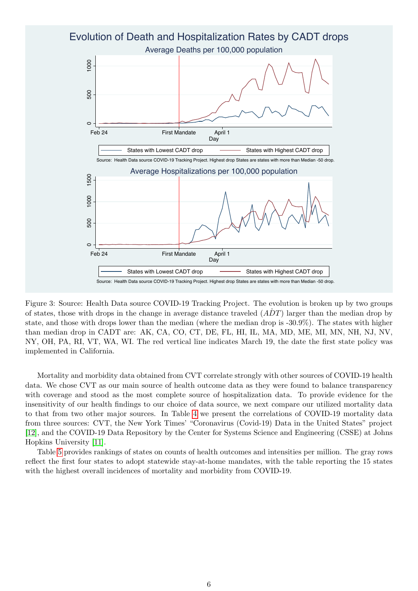<span id="page-5-0"></span>

Figure 3: Source: Health Data source COVID-19 Tracking Project. The evolution is broken up by two groups of states, those with drops in the change in average distance traveled  $(\overline{ADT})$  larger than the median drop by state, and those with drops lower than the median (where the median drop is -30.9%). The states with higher than median drop in CADT are: AK, CA, CO, CT, DE, FL, HI, IL, MA, MD, ME, MI, MN, NH, NJ, NV, NY, OH, PA, RI, VT, WA, WI. The red vertical line indicates March 19, the date the first state policy was implemented in California.

Mortality and morbidity data obtained from CVT correlate strongly with other sources of COVID-19 health data. We chose CVT as our main source of health outcome data as they were found to balance transparency with coverage and stood as the most complete source of hospitalization data. To provide evidence for the insensitivity of our health findings to our choice of data source, we next compare our utilized mortality data to that from two other major sources. In Table [4](#page-10-0) we present the correlations of COVID-19 mortality data from three sources: CVT, the New York Times' "Coronavirus (Covid-19) Data in the United States" project [\[12\]](#page-38-2), and the COVID-19 Data Repository by the Center for Systems Science and Engineering (CSSE) at Johns Hopkins University [\[11\]](#page-38-3).

Table [5](#page-11-0) provides rankings of states on counts of health outcomes and intensities per million. The gray rows reflect the first four states to adopt statewide stay-at-home mandates, with the table reporting the 15 states with the highest overall incidences of mortality and morbidity from COVID-19.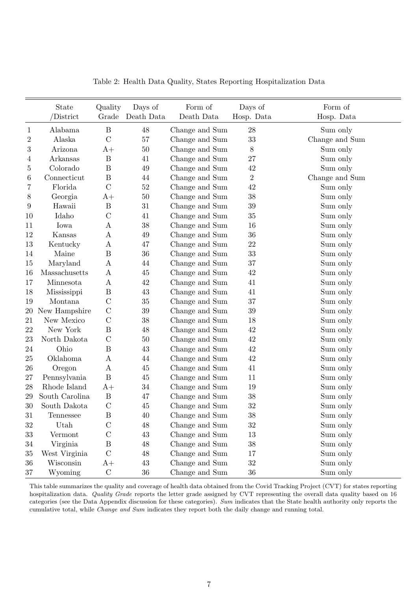<span id="page-6-0"></span>

|                  | State          | Quality          | Days of    | Form of        | Days of        | Form of        |
|------------------|----------------|------------------|------------|----------------|----------------|----------------|
|                  | /District      | Grade            | Death Data | Death Data     | Hosp. Data     | Hosp. Data     |
| $\mathbf{1}$     | Alabama        | $\, {\bf B}$     | 48         | Change and Sum | $28\,$         | Sum only       |
| $\overline{2}$   | Alaska         | $\mathcal{C}$    | $57\,$     | Change and Sum | 33             | Change and Sum |
| $\sqrt{3}$       | Arizona        | $A+$             | 50         | Change and Sum | $8\,$          | Sum only       |
| 4                | Arkansas       | $\boldsymbol{B}$ | 41         | Change and Sum | 27             | Sum only       |
| 5                | Colorado       | $\boldsymbol{B}$ | 49         | Change and Sum | 42             | Sum only       |
| 6                | Connecticut    | B                | 44         | Change and Sum | $\overline{2}$ | Change and Sum |
| 7                | Florida        | $\mathcal{C}$    | $52\,$     | Change and Sum | $42\,$         | Sum only       |
| $8\,$            | Georgia        | $A+$             | 50         | Change and Sum | 38             | Sum only       |
| $\boldsymbol{9}$ | Hawaii         | $\, {\bf B}$     | 31         | Change and Sum | 39             | Sum only       |
| 10               | Idaho          | $\mathcal{C}$    | 41         | Change and Sum | 35             | Sum only       |
| 11               | Iowa           | Α                | 38         | Change and Sum | 16             | Sum only       |
| 12               | Kansas         | A                | $49\,$     | Change and Sum | 36             | Sum only       |
| $13\,$           | Kentucky       | A                | 47         | Change and Sum | $22\,$         | Sum only       |
| 14               | Maine          | $\, {\bf B}$     | 36         | Change and Sum | 33             | Sum only       |
| 15               | Maryland       | $\boldsymbol{A}$ | 44         | Change and Sum | $37\,$         | Sum only       |
| 16               | Massachusetts  | $\boldsymbol{A}$ | $45\,$     | Change and Sum | 42             | Sum only       |
| 17               | Minnesota      | $\boldsymbol{A}$ | $42\,$     | Change and Sum | 41             | Sum only       |
| 18               | Mississippi    | $\boldsymbol{B}$ | 43         | Change and Sum | 41             | Sum only       |
| 19               | Montana        | $\mathcal{C}$    | 35         | Change and Sum | 37             | Sum only       |
| $20\,$           | New Hampshire  | $\mathcal{C}$    | $39\,$     | Change and Sum | 39             | Sum only       |
| 21               | New Mexico     | $\mathcal{C}$    | 38         | Change and Sum | 18             | Sum only       |
| 22               | New York       | $\boldsymbol{B}$ | 48         | Change and Sum | $42\,$         | Sum only       |
| 23               | North Dakota   | $\mathcal{C}$    | $50\,$     | Change and Sum | $42\,$         | Sum only       |
| $24\,$           | Ohio           | $\boldsymbol{B}$ | 43         | Change and Sum | 42             | Sum only       |
| 25               | Oklahoma       | A                | 44         | Change and Sum | 42             | Sum only       |
| 26               | Oregon         | $\boldsymbol{A}$ | $45\,$     | Change and Sum | 41             | Sum only       |
| 27               | Pennsylvania   | $\boldsymbol{B}$ | $45\,$     | Change and Sum | 11             | Sum only       |
| 28               | Rhode Island   | $A+$             | 34         | Change and Sum | 19             | Sum only       |
| 29               | South Carolina | $\, {\bf B}$     | 47         | Change and Sum | 38             | Sum only       |
| $30\,$           | South Dakota   | $\mathbf C$      | 45         | Change and Sum | 32             | Sum only       |
| 31               | Tennessee      | $\, {\bf B}$     | 40         | Change and Sum | $38\,$         | Sum only       |
| $32\,$           | Utah           | $\mathcal{C}$    | $48\,$     | Change and Sum | $32\,$         | Sum only       |
| $33\,$           | Vermont        | $\mathcal{C}$    | 43         | Change and Sum | 13             | Sum only       |
| $34\,$           | Virginia       | $\, {\bf B}$     | $48\,$     | Change and Sum | $38\,$         | Sum only       |
| $35\,$           | West Virginia  | $\mathcal{C}$    | $48\,$     | Change and Sum | 17             | Sum only       |
| 36               | Wisconsin      | $A+$             | $43\,$     | Change and Sum | $32\,$         | Sum only       |
| $37\,$           | Wyoming        | ${\bf C}$        | 36         | Change and Sum | $36\,$         | Sum only       |

Table 2: Health Data Quality, States Reporting Hospitalization Data

This table summarizes the quality and coverage of health data obtained from the Covid Tracking Project (CVT) for states reporting hospitalization data. Quality Grade reports the letter grade assigned by CVT representing the overall data quality based on 16 categories (see the Data Appendix discussion for these categories). Sum indicates that the State health authority only reports the cumulative total, while Change and Sum indicates they report both the daily change and running total.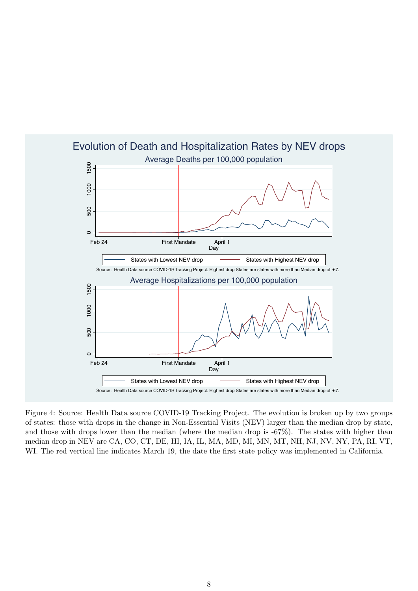<span id="page-7-0"></span>

Figure 4: Source: Health Data source COVID-19 Tracking Project. The evolution is broken up by two groups of states: those with drops in the change in Non-Essential Visits (NEV) larger than the median drop by state, and those with drops lower than the median (where the median drop is -67%). The states with higher than median drop in NEV are CA, CO, CT, DE, HI, IA, IL, MA, MD, MI, MN, MT, NH, NJ, NV, NY, PA, RI, VT, WI. The red vertical line indicates March 19, the date the first state policy was implemented in California.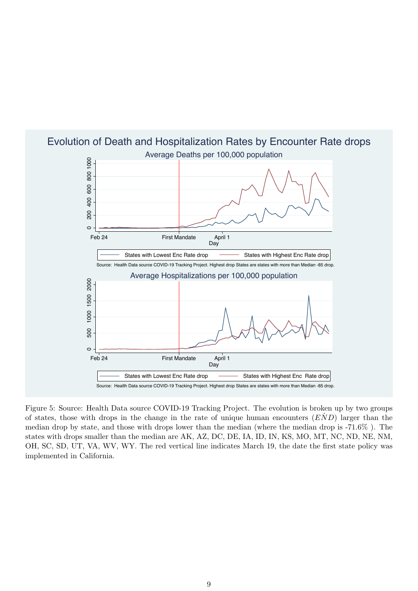

# <span id="page-8-0"></span>Average Deaths per 100,000 population Evolution of Death and Hospitalization Rates by Encounter Rate drops

Figure 5: Source: Health Data source COVID-19 Tracking Project. The evolution is broken up by two groups of states, those with drops in the change in the rate of unique human encounters  $(END)$  larger than the median drop by state, and those with drops lower than the median (where the median drop is -71.6% ). The states with drops smaller than the median are AK, AZ, DC, DE, IA, ID, IN, KS, MO, MT, NC, ND, NE, NM, OH, SC, SD, UT, VA, WV, WY. The red vertical line indicates March 19, the date the first state policy was implemented in California.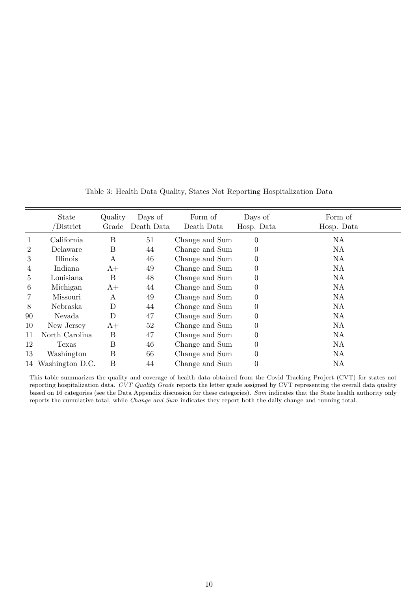<span id="page-9-0"></span>

|                 | <b>State</b><br>District | Quality<br>Grade | Days of<br>Death Data | Form of<br>Death Data | Days of<br>Hosp. Data | Form of<br>Hosp. Data |
|-----------------|--------------------------|------------------|-----------------------|-----------------------|-----------------------|-----------------------|
| 1               | California               | B                | 51                    | Change and Sum        | $\overline{0}$        | <b>NA</b>             |
| 2               | Delaware                 | B                | 44                    | Change and Sum        | $\boldsymbol{0}$      | NA                    |
| 3               | Illinois                 | А                | 46                    | Change and Sum        | $\boldsymbol{0}$      | NA                    |
| $\overline{4}$  | Indiana                  | $A+$             | 49                    | Change and Sum        | $\boldsymbol{0}$      | NA                    |
| $5\overline{)}$ | Louisiana                | B                | 48                    | Change and Sum        | $\theta$              | NA                    |
| 6               | Michigan                 | $A+$             | 44                    | Change and Sum        | $\boldsymbol{0}$      | NA                    |
| 7               | Missouri                 | А                | 49                    | Change and Sum        | $\theta$              | NA                    |
| 8               | Nebraska                 | D                | 44                    | Change and Sum        | $\theta$              | NA                    |
| 90              | Nevada                   | D                | 47                    | Change and Sum        | $\theta$              | NA                    |
| 10              | New Jersey               | $A+$             | 52                    | Change and Sum        | $\boldsymbol{0}$      | NA                    |
| 11              | North Carolina           | Β                | 47                    | Change and Sum        | $\theta$              | NA                    |
| 12              | Texas                    | B                | 46                    | Change and Sum        | $\boldsymbol{0}$      | <b>NA</b>             |
| 13              | Washington               | Β                | 66                    | Change and Sum        | $\overline{0}$        | NA                    |
|                 | 14 Washington D.C.       | B                | 44                    | Change and Sum        | $\boldsymbol{0}$      | NA                    |

Table 3: Health Data Quality, States Not Reporting Hospitalization Data

This table summarizes the quality and coverage of health data obtained from the Covid Tracking Project (CVT) for states not reporting hospitalization data. CVT Quality Grade reports the letter grade assigned by CVT representing the overall data quality based on 16 categories (see the Data Appendix discussion for these categories). Sum indicates that the State health authority only reports the cumulative total, while Change and Sum indicates they report both the daily change and running total.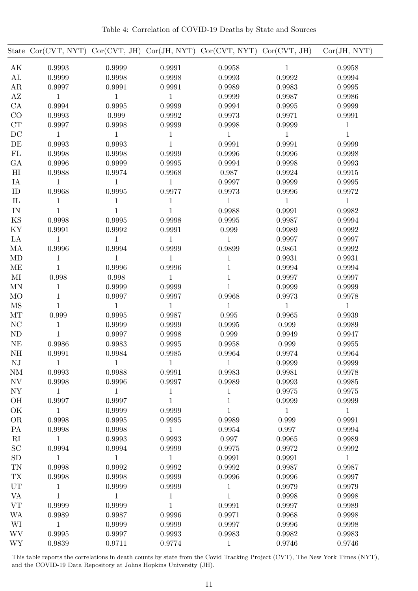Table 4: Correlation of COVID-19 Deaths by State and Sources

<span id="page-10-0"></span>

|                          | State $Cor(CVT, NYT)$ |              |              | $Cor(CVT, JH)$ $Cor(JH, NYT)$ $Cor(CVT, NYT)$ $Cor(CVT, JH)$ |              | Cor(JH, NYT) |
|--------------------------|-----------------------|--------------|--------------|--------------------------------------------------------------|--------------|--------------|
| AK                       | 0.9993                | 0.9999       | 0.9991       | 0.9958                                                       | $\,1$        | 0.9958       |
| AL                       | 0.9999                | 0.9998       | 0.9998       | 0.9993                                                       | 0.9992       | 0.9994       |
| ${\rm AR}$               | 0.9997                | 0.9991       | 0.9991       | 0.9989                                                       | 0.9983       | 0.9995       |
| $\rm AZ$                 | $\mathbf{1}$          | 1            | $\mathbf{1}$ | 0.9999                                                       | 0.9987       | 0.9986       |
| CA                       | 0.9994                | 0.9995       | 0.9999       | 0.9994                                                       | 0.9995       | 0.9999       |
| CO                       | 0.9993                | 0.999        | 0.9992       | 0.9973                                                       | 0.9971       | 0.9991       |
| CT                       | 0.9997                | 0.9998       | 0.9999       | 0.9998                                                       | 0.9999       | $\mathbf 1$  |
| DC                       | $\mathbf{1}$          | $\mathbf{1}$ | $\mathbf{1}$ | $\mathbf{1}$                                                 | $\mathbf 1$  | $\mathbf{1}$ |
| DE                       | 0.9993                | 0.9993       | $1\,$        | 0.9991                                                       | 0.9991       | 0.9999       |
| FL                       | 0.9998                | 0.9998       | 0.9999       | 0.9996                                                       | 0.9996       | 0.9998       |
| GA                       | 0.9996                | 0.9999       | 0.9995       | 0.9994                                                       | 0.9998       | 0.9993       |
| H <sub>I</sub>           | 0.9988                | 0.9974       | 0.9968       | 0.987                                                        | 0.9924       | 0.9915       |
| IA                       | 1                     | 1            | $\mathbf{1}$ | 0.9997                                                       | 0.9999       | 0.9995       |
| ID                       | 0.9968                | 0.9995       | 0.9977       | 0.9973                                                       | 0.9996       | 0.9972       |
| $\rm IL$                 | $1\,$                 | $\mathbf 1$  | $\,1$        | $\mathbf 1$                                                  | $\,1$        | $\mathbf{1}$ |
| $\ensuremath{\text{IN}}$ | 1                     | 1            | $1\,$        | 0.9988                                                       | 0.9991       | 0.9982       |
| KS                       | 0.9998                | 0.9995       | 0.9998       | 0.9995                                                       | 0.9987       | 0.9994       |
| KY                       | 0.9991                | 0.9992       | 0.9991       | 0.999                                                        | 0.9989       | 0.9992       |
| $\rm{LA}$                | $\mathbf{1}$          | $\mathbf{1}$ | $\mathbf{1}$ | $\mathbf{1}$                                                 | 0.9997       | 0.9997       |
| MA                       | 0.9996                | 0.9994       | 0.9999       | 0.9899                                                       | 0.9861       | 0.9992       |
| MD                       | 1                     | 1            | 1            | $\mathbf{1}$                                                 | 0.9931       | 0.9931       |
| ME                       | $\mathbf{1}$          | 0.9996       | 0.9996       | $\,1$                                                        | 0.9994       | 0.9994       |
| MI                       | 0.998                 | 0.998        | $\mathbf{1}$ | $\mathbf 1$                                                  | 0.9997       | 0.9997       |
| <b>MN</b>                | $1\,$                 | 0.9999       | 0.9999       | $\mathbf{1}$                                                 | 0.9999       | 0.9999       |
| MO                       | $\mathbf 1$           | 0.9997       | 0.9997       | 0.9968                                                       | 0.9973       | 0.9978       |
| <b>MS</b>                | $\mathbf{1}$          | $\mathbf{1}$ | $\mathbf{1}$ | 1                                                            | $\mathbf{1}$ | $\mathbf{1}$ |
| MT                       | 0.999                 | 0.9995       | 0.9987       | 0.995                                                        | 0.9965       | 0.9939       |
| $\rm NC$                 | $\mathbf 1$           | 0.9999       | 0.9999       | 0.9995                                                       | 0.999        | 0.9989       |
| N <sub>D</sub>           | $\mathbf{1}$          | 0.9997       | 0.9998       | 0.999                                                        | 0.9949       | 0.9947       |
| NE                       | 0.9986                | 0.9983       | 0.9995       | 0.9958                                                       | 0.999        | 0.9955       |
| NH                       | 0.9991                | 0.9984       | 0.9985       | 0.9964                                                       | 0.9974       | 0.9964       |
| NJ                       | $\mathbf{1}$          | $\mathbf{1}$ | $\mathbf{1}$ | $\mathbf{1}$                                                 | 0.9999       | 0.9999       |
| <b>NM</b>                | 0.9993                | 0.9988       | 0.9991       | 0.9983                                                       | 0.9981       | 0.9978       |
| $\ensuremath{\text{NV}}$ | 0.9998                | 0.9996       | 0.9997       | 0.9989                                                       | 0.9993       | 0.9985       |
| ${\rm NY}$               | $\mathbf 1$           | 1            | $\mathbf{1}$ | $\mathbf 1$                                                  | 0.9975       | 0.9975       |
| OH                       | 0.9997                | 0.9997       | $1\,$        | $\mathbf 1$                                                  | 0.9999       | 0.9999       |
| OK                       | $\mathbf{1}$          | 0.9999       | 0.9999       | $\mathbf{1}$                                                 | $\mathbf{1}$ | $\mathbf{1}$ |
| <b>OR</b>                | 0.9998                | 0.9995       | 0.9995       | 0.9989                                                       | 0.999        | 0.9991       |
| PA                       | 0.9998                | 0.9998       | $\mathbf{1}$ | 0.9954                                                       | 0.997        | 0.9994       |
| $\mathbf{R}$             | $\mathbf{1}$          | 0.9993       | 0.9993       | 0.997                                                        | 0.9965       | 0.9989       |
| SC                       | 0.9994                | 0.9994       | 0.9999       | 0.9975                                                       | 0.9972       | 0.9992       |
| SD                       | $\mathbf{1}$          | $\mathbf{1}$ | $\mathbf{1}$ | 0.9991                                                       | 0.9991       | $\mathbf{1}$ |
| TN                       | 0.9998                | 0.9992       | 0.9992       | 0.9992                                                       | 0.9987       | 0.9987       |
|                          |                       |              |              |                                                              |              |              |
| <b>TX</b><br>UT          | 0.9998                | 0.9998       | 0.9999       | 0.9996                                                       | 0.9996       | 0.9997       |
|                          | $\mathbf 1$           | 0.9999       | 0.9999       | $\mathbf{1}$                                                 | 0.9979       | 0.9979       |
| <b>VA</b>                | $\mathbf{1}$          | $\mathbf{1}$ | $\,1$        | $\mathbf{1}$                                                 | 0.9998       | 0.9998       |
| ${\rm VT}$               | 0.9999                | 0.9999       | $\,1$        | 0.9991                                                       | 0.9997       | 0.9989       |
| <b>WA</b>                | 0.9989                | 0.9987       | 0.9996       | 0.9971                                                       | 0.9968       | 0.9998       |
| WI                       | $\mathbf{1}$          | 0.9999       | 0.9999       | 0.9997                                                       | 0.9996       | 0.9998       |
| <b>WV</b>                | 0.9995                | 0.9997       | 0.9993       | 0.9983                                                       | 0.9982       | 0.9983       |
| <b>WY</b>                | 0.9839                | 0.9711       | 0.9774       | $\mathbf 1$                                                  | 0.9746       | 0.9746       |

This table reports the correlations in death counts by state from the Covid Tracking Project (CVT), The New York Times (NYT), and the COVID-19 Data Repository at Johns Hopkins University (JH).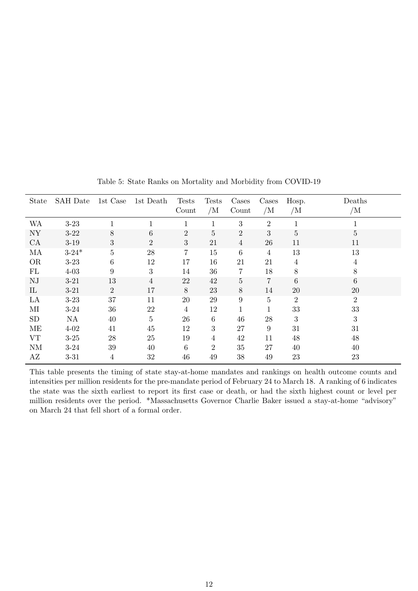<span id="page-11-0"></span>

| State     | <b>SAH</b> Date | 1st Case       | 1st Death      | <b>Tests</b><br>Count | <b>Tests</b><br>/M | Cases<br>Count   | Cases<br>/M    | Hosp.<br>/M    | Deaths<br>/M   |
|-----------|-----------------|----------------|----------------|-----------------------|--------------------|------------------|----------------|----------------|----------------|
| WA        | $3-23$          |                |                |                       |                    | 3                | $\overline{2}$ |                |                |
| <b>NY</b> | $3 - 22$        | 8              | 6              | $\overline{2}$        | 5                  | $\overline{2}$   | 3              | 5              | 5              |
| CA        | $3-19$          | 3              | $\overline{2}$ | 3                     | 21                 | $\overline{4}$   | 26             | 11             | 11             |
| MA        | $3 - 24*$       | $\overline{5}$ | 28             | $\overline{7}$        | 15                 | $\,6\,$          | $\overline{4}$ | 13             | 13             |
| <b>OR</b> | $3 - 23$        | 6              | 12             | 17                    | 16                 | 21               | 21             | 4              | 4              |
| FL        | $4 - 03$        | 9              | 3              | 14                    | 36                 | $\overline{7}$   | 18             | 8              | 8              |
| NJ        | $3 - 21$        | 13             | $\overline{4}$ | 22                    | 42                 | $\overline{5}$   | $\overline{7}$ | 6              | 6              |
| IL        | $3 - 21$        | 2              | 17             | 8                     | 23                 | 8                | 14             | 20             | 20             |
| LA        | $3-23$          | 37             | 11             | 20                    | 29                 | $\boldsymbol{9}$ | $\overline{5}$ | $\overline{2}$ | $\overline{2}$ |
| $\rm MI$  | $3 - 24$        | 36             | 22             | $\overline{4}$        | 12                 |                  | 1              | $33\,$         | 33             |
| <b>SD</b> | NA              | 40             | $\overline{5}$ | 26                    | $\,6\,$            | 46               | 28             | 3              | 3              |
| ME        | $4 - 02$        | 41             | 45             | 12                    | 3                  | 27               | $9\,$          | 31             | 31             |
| VT        | $3 - 25$        | 28             | 25             | 19                    | $\overline{4}$     | 42               | 11             | 48             | 48             |
| <b>NM</b> | $3 - 24$        | 39             | 40             | 6                     | $\overline{2}$     | 35               | 27             | 40             | 40             |
| AZ        | $3 - 31$        | 4              | 32             | 46                    | 49                 | 38               | 49             | 23             | 23             |

Table 5: State Ranks on Mortality and Morbidity from COVID-19

This table presents the timing of state stay-at-home mandates and rankings on health outcome counts and intensities per million residents for the pre-mandate period of February 24 to March 18. A ranking of 6 indicates the state was the sixth earliest to report its first case or death, or had the sixth highest count or level per million residents over the period. \*Massachusetts Governor Charlie Baker issued a stay-at-home "advisory" on March 24 that fell short of a formal order.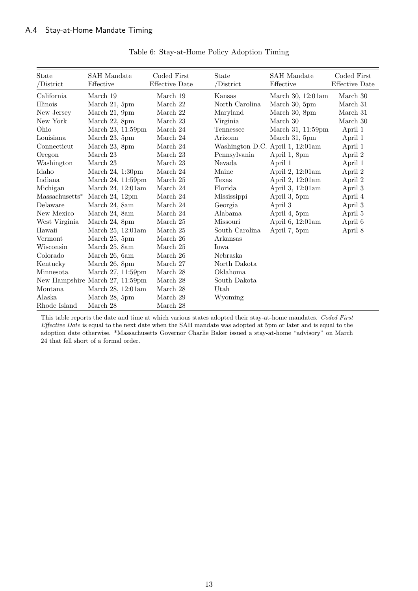| State<br>/District | <b>SAH</b> Mandate<br>Effective | Coded First<br><b>Effective Date</b> | State<br>/District | <b>SAH</b> Mandate<br>Effective | Coded First<br>Effective Date |
|--------------------|---------------------------------|--------------------------------------|--------------------|---------------------------------|-------------------------------|
| California         | March 19                        | March 19                             | Kansas             | March 30, 12:01am               | March 30                      |
| Illinois           | March 21, 5pm                   | March 22                             | North Carolina     | March 30, 5pm                   | March 31                      |
| New Jersey         | March 21, 9pm                   | March 22                             | Maryland           | March 30, 8pm                   | March 31                      |
| New York           | March 22, 8pm                   | March 23                             | Virginia           | March 30                        | March 30                      |
| Ohio               | March 23, 11:59pm               | March 24                             | Tennessee          | March 31, 11:59pm               | April 1                       |
| Louisiana          | March 23, 5pm                   | March 24                             | Arizona            | March 31, 5pm                   | April 1                       |
| Connecticut        | March 23, 8pm                   | March 24                             | Washington D.C.    | April 1, 12:01am                | April 1                       |
| Oregon             | March 23                        | March 23                             | Pennsylvania       | April 1, 8pm                    | April 2                       |
| Washington         | March 23                        | March 23                             | Nevada             | April 1                         | April 1                       |
| Idaho              | March $24$ , 1:30pm             | March 24                             | Maine              | April 2, 12:01am                | April 2                       |
| Indiana            | March 24, 11:59pm               | March 25                             | Texas              | April 2, 12:01am                | April 2                       |
| Michigan           | March 24, 12:01am               | March 24                             | Florida            | April 3, 12:01am                | April 3                       |
| $Massachusetts*$   | March 24, 12pm                  | March 24                             | Mississippi        | April 3, 5pm                    | April 4                       |
| Delaware           | March 24, 8am                   | March 24                             | Georgia            | April 3                         | April 3                       |
| New Mexico         | March 24, 8am                   | March 24                             | Alabama            | April 4, 5pm                    | April 5                       |
| West Virginia      | March 24, 8pm                   | March 25                             | Missouri           | April 6, 12:01am                | April 6                       |
| Hawaii             | March 25, 12:01am               | March 25                             | South Carolina     | April 7, 5pm                    | April 8                       |
| Vermont            | March 25, 5pm                   | March 26                             | Arkansas           |                                 |                               |
| Wisconsin          | March 25, 8am                   | March 25                             | Iowa               |                                 |                               |
| Colorado           | March 26, 6am                   | March 26                             | Nebraska           |                                 |                               |
| Kentucky           | March 26, 8pm                   | March 27                             | North Dakota       |                                 |                               |
| Minnesota          | March 27, 11:59pm               | March 28                             | Oklahoma           |                                 |                               |
|                    | New Hampshire March 27, 11:59pm | March $28\,$                         | South Dakota       |                                 |                               |
| Montana            | March 28, 12:01am               | March 28                             | Utah               |                                 |                               |
| Alaska             | March 28, 5pm                   | March 29                             | Wyoming            |                                 |                               |
| Rhode Island       | March $28\,$                    | March 28                             |                    |                                 |                               |

### Table 6: Stay-at-Home Policy Adoption Timing

This table reports the date and time at which various states adopted their stay-at-home mandates. Coded First Effective Date is equal to the next date when the SAH mandate was adopted at 5pm or later and is equal to the adoption date otherwise. \*Massachusetts Governor Charlie Baker issued a stay-at-home "advisory" on March 24 that fell short of a formal order.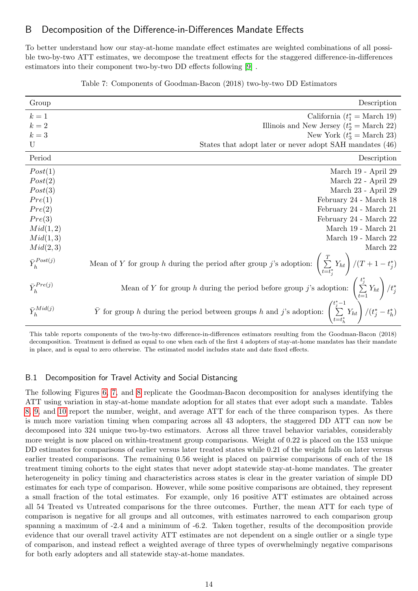## B Decomposition of the Difference-in-Differences Mandate Effects

To better understand how our stay-at-home mandate effect estimates are weighted combinations of all possible two-by-two ATT estimates, we decompose the treatment effects for the staggered difference-in-differences estimators into their component two-by-two DD effects following [\[9\]](#page-38-4) .

| Table 7: Components of Goodman-Bacon (2018) two-by-two DD Estimators |  |  |
|----------------------------------------------------------------------|--|--|
|                                                                      |  |  |

| Group                 | Description                                                                                                                                                                                                                                                          |
|-----------------------|----------------------------------------------------------------------------------------------------------------------------------------------------------------------------------------------------------------------------------------------------------------------|
| $k=1$                 | California $(t_1^* = \text{March } 19)$                                                                                                                                                                                                                              |
| $k=2\,$               | Illinois and New Jersey $(t_2^* = \text{March } 22)$                                                                                                                                                                                                                 |
| $k=3$                 | New York $(t_3^* = \text{March } 23)$                                                                                                                                                                                                                                |
| U                     | States that adopt later or never adopt SAH mandates (46)                                                                                                                                                                                                             |
| Period                | Description                                                                                                                                                                                                                                                          |
| Post(1)               | March 19 - April 29                                                                                                                                                                                                                                                  |
| Post(2)               | March 22 - April 29                                                                                                                                                                                                                                                  |
| Post(3)               | March 23 - April 29                                                                                                                                                                                                                                                  |
| Pre(1)                | February 24 - March 18                                                                                                                                                                                                                                               |
| Pre(2)                | February 24 - March 21                                                                                                                                                                                                                                               |
| Pre(3)                | February 24 - March 22                                                                                                                                                                                                                                               |
| Mid(1,2)              | March 19 - March 21                                                                                                                                                                                                                                                  |
| Mid(1,3)              | March 19 - March 22                                                                                                                                                                                                                                                  |
| Mid(2,3)              | March 22                                                                                                                                                                                                                                                             |
| $\bar{Y}_h^{Post(j)}$ | Mean of Y for group h during the period after group j's adoption: $\left(\sum_{t=t^*}^T Y_{ht}\right)/(T+1-t_j^*)$                                                                                                                                                   |
| $\bar{Y}_h^{Pre(j)}$  |                                                                                                                                                                                                                                                                      |
| $\bar{Y}_h^{Mid(j)}$  | Mean of Y for group h during the period before group j's adoption: $\left(\sum_{t=1}^{t_j^*} Y_{ht}\right) / t_j^*$<br>$\bar{Y}$ for group h during the period between groups h and j's adoption: $\left(\sum_{t=t_h^*}^{t_j^* - 1} Y_{ht}\right) / (t_j^* - t_h^*)$ |

This table reports components of the two-by-two difference-in-differences estimators resulting from the Goodman-Bacon (2018) decomposition. Treatment is defined as equal to one when each of the first 4 adopters of stay-at-home mandates has their mandate in place, and is equal to zero otherwise. The estimated model includes state and date fixed effects.

### B.1 Decomposition for Travel Activity and Social Distancing

The following Figures [6,](#page-14-0) [7,](#page-15-0) and [8](#page-16-0) replicate the Goodman-Bacon decomposition for analyses identifying the ATT using variation in stay-at-home mandate adoption for all states that ever adopt such a mandate. Tables [8,](#page-14-1) [9,](#page-15-1) and [10](#page-16-1) report the number, weight, and average ATT for each of the three comparison types. As there is much more variation timing when comparing across all 43 adopters, the staggered DD ATT can now be decomposed into 324 unique two-by-two estimators. Across all three travel behavior variables, considerably more weight is now placed on within-treatment group comparisons. Weight of 0.22 is placed on the 153 unique DD estimates for comparisons of earlier versus later treated states while 0.21 of the weight falls on later versus earlier treated comparisons. The remaining 0.56 weight is placed on pairwise comparisons of each of the 18 treatment timing cohorts to the eight states that never adopt statewide stay-at-home mandates. The greater heterogeneity in policy timing and characteristics across states is clear in the greater variation of simple DD estimates for each type of comparison. However, while some positive comparisons are obtained, they represent a small fraction of the total estimates. For example, only 16 positive ATT estimates are obtained across all 54 Treated vs Untreated comparisons for the three outcomes. Further, the mean ATT for each type of comparison is negative for all groups and all outcomes, with estimates narrowed to each comparison group spanning a maximum of -2.4 and a minimum of -6.2. Taken together, results of the decomposition provide evidence that our overall travel activity ATT estimates are not dependent on a single outlier or a single type of comparison, and instead reflect a weighted average of three types of overwhelmingly negative comparisons for both early adopters and all statewide stay-at-home mandates.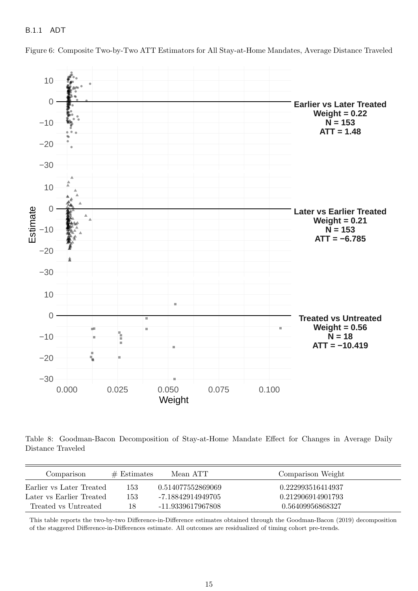<span id="page-14-0"></span>Figure 6: Composite Two-by-Two ATT Estimators for All Stay-at-Home Mandates, Average Distance Traveled



<span id="page-14-1"></span>Table 8: Goodman-Bacon Decomposition of Stay-at-Home Mandate Effect for Changes in Average Daily Distance Traveled

| Comparison               | $#$ Estimates | Mean ATT          | Comparison Weight |
|--------------------------|---------------|-------------------|-------------------|
| Earlier vs Later Treated | 153           | 0.514077552869069 | 0.222993516414937 |
| Later vs Earlier Treated | 153           | -7.18842914949705 | 0.212906914901793 |
| Treated vs Untreated     | 18            | -11.9339617967808 | 0.56409956868327  |

This table reports the two-by-two Difference-in-Difference estimates obtained through the Goodman-Bacon (2019) decomposition of the staggered Difference-in-Differences estimate. All outcomes are residualized of timing cohort pre-trends.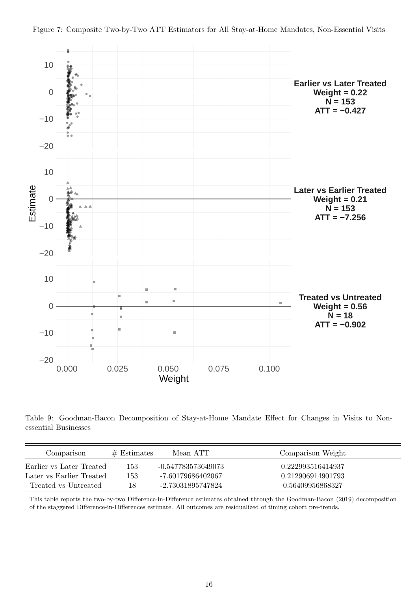<span id="page-15-0"></span>



<span id="page-15-1"></span>Table 9: Goodman-Bacon Decomposition of Stay-at-Home Mandate Effect for Changes in Visits to Nonessential Businesses

| Comparison               | $#$ Estimates | Mean ATT           | Comparison Weight |
|--------------------------|---------------|--------------------|-------------------|
| Earlier vs Later Treated | 153           | -0.547783573649073 | 0.222993516414937 |
| Later vs Earlier Treated | 153           | -7.60179686402067  | 0.212906914901793 |
| Treated vs Untreated     | 18            | -2.73031895747824  | 0.56409956868327  |

This table reports the two-by-two Difference-in-Difference estimates obtained through the Goodman-Bacon (2019) decomposition of the staggered Difference-in-Differences estimate. All outcomes are residualized of timing cohort pre-trends.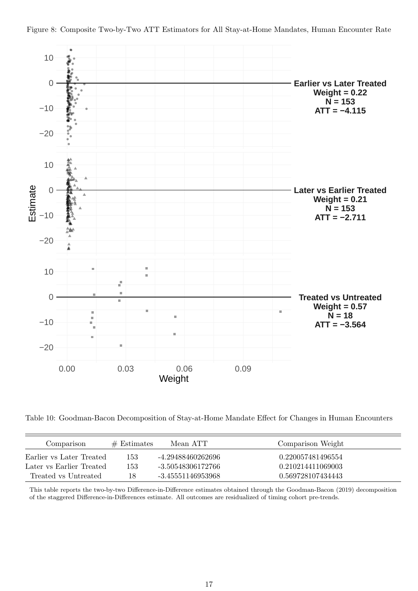<span id="page-16-0"></span>



<span id="page-16-1"></span>Table 10: Goodman-Bacon Decomposition of Stay-at-Home Mandate Effect for Changes in Human Encounters

| Comparison               | $#$ Estimates | Mean ATT          | Comparison Weight |
|--------------------------|---------------|-------------------|-------------------|
| Earlier vs Later Treated | 153           | -4.29488460262696 | 0.220057481496554 |
| Later vs Earlier Treated | 153           | -3.50548306172766 | 0.210214411069003 |
| Treated vs Untreated     | 18            | -3.45551146953968 | 0.569728107434443 |

This table reports the two-by-two Difference-in-Difference estimates obtained through the Goodman-Bacon (2019) decomposition of the staggered Difference-in-Differences estimate. All outcomes are residualized of timing cohort pre-trends.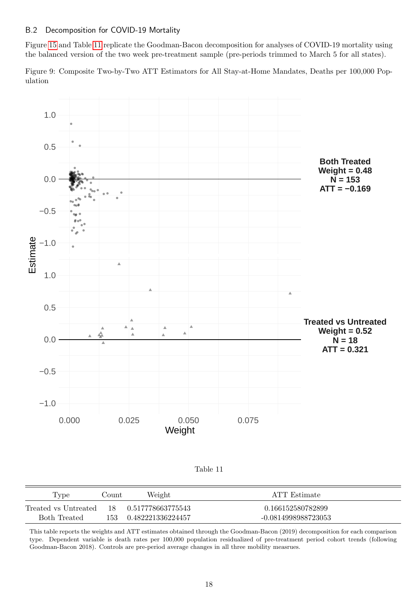### B.2 Decomposition for COVID-19 Mortality

Figure [15](#page-24-0) and Table [11](#page-17-0) replicate the Goodman-Bacon decomposition for analyses of COVID-19 mortality using the balanced version of the two week pre-treatment sample (pre-periods trimmed to March 5 for all states).

Figure 9: Composite Two-by-Two ATT Estimators for All Stay-at-Home Mandates, Deaths per 100,000 Population



Table 11

<span id="page-17-0"></span>

| Type                                      | Count | Weight            | ATT Estimate        |
|-------------------------------------------|-------|-------------------|---------------------|
| Treated vs Untreated 18 0.517778663775543 |       |                   | 0.166152580782899   |
| Both Treated                              | 153 - | 0.482221336224457 | -0.0814998988723053 |

This table reports the weights and ATT estimates obtained through the Goodman-Bacon (2019) decomposition for each comparison type. Dependent variable is death rates per 100,000 population residualized of pre-treatment period cohort trends (following Goodman-Bacon 2018). Controls are pre-period average changes in all three mobility measrues.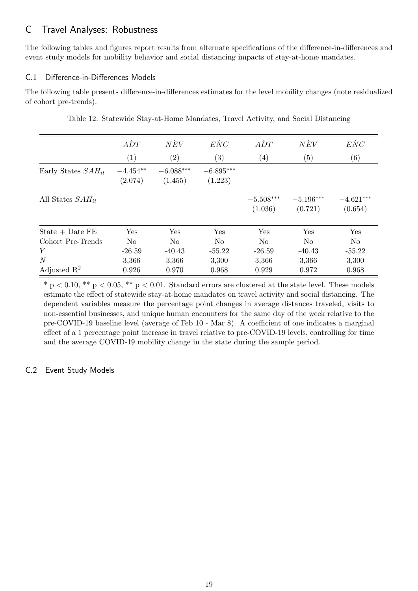# C Travel Analyses: Robustness

The following tables and figures report results from alternate specifications of the difference-in-differences and event study models for mobility behavior and social distancing impacts of stay-at-home mandates.

## C.1 Difference-in-Differences Models

The following table presents difference-in-differences estimates for the level mobility changes (note residualized of cohort pre-trends).

|                         | $\overline{ADT}$      | $N\dot{E}V$            | $\dot{ENC}$            | $\overline{ADT}$       | $N\dot{E}V$            | $\dot{ENC}$            |
|-------------------------|-----------------------|------------------------|------------------------|------------------------|------------------------|------------------------|
|                         | (1)                   | $\left( 2\right)$      | (3)                    | $\left( 4\right)$      | (5)                    | (6)                    |
| Early States $SAH_{it}$ | $-4.454**$<br>(2.074) | $-6.088***$<br>(1.455) | $-6.895***$<br>(1.223) |                        |                        |                        |
| All States $SAH_{it}$   |                       |                        |                        | $-5.508***$<br>(1.036) | $-5.196***$<br>(0.721) | $-4.621***$<br>(0.654) |
| $State + Date FE$       | Yes                   | Yes                    | Yes                    | Yes                    | Yes                    | Yes                    |
| Cohort Pre-Trends       | No                    | N <sub>o</sub>         | No                     | N <sub>o</sub>         | No                     | $\rm No$               |
| $\bar{Y}$               | $-26.59$              | $-40.43$               | $-55.22$               | $-26.59$               | $-40.43$               | $-55.22$               |
| $\overline{N}$          | 3,366                 | 3,366                  | 3,300                  | 3,366                  | 3,366                  | 3,300                  |
| Adjusted $\mathbb{R}^2$ | 0.926                 | 0.970                  | 0.968                  | 0.929                  | 0.972                  | 0.968                  |

Table 12: Statewide Stay-at-Home Mandates, Travel Activity, and Social Distancing

 $*$  p  $< 0.10$ ,  $**$  p  $< 0.05$ ,  $**$  p  $< 0.01$ . Standard errors are clustered at the state level. These models estimate the effect of statewide stay-at-home mandates on travel activity and social distancing. The dependent variables measure the percentage point changes in average distances traveled, visits to non-essential businesses, and unique human encounters for the same day of the week relative to the pre-COVID-19 baseline level (average of Feb 10 - Mar 8). A coefficient of one indicates a marginal effect of a 1 percentage point increase in travel relative to pre-COVID-19 levels, controlling for time and the average COVID-19 mobility change in the state during the sample period.

# C.2 Event Study Models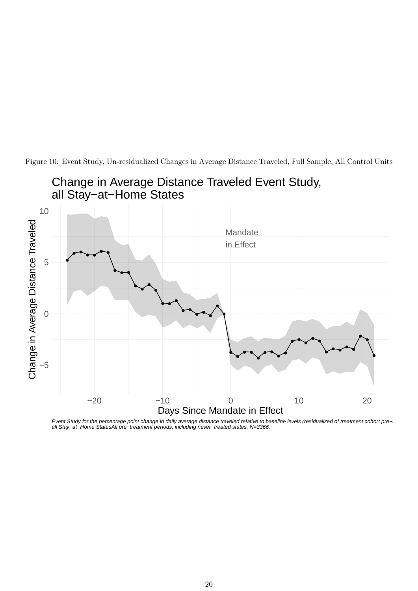

Figure 10: Event Study, Un-residualized Changes in Average Distance Traveled, Full Sample, All Control Units

Event Study for the percentage point change in daily average distance traveled relative to baseline levels (residualized of treatment cohort pre− all Stay−at−Home StatesAll pre−treatment periods, including never−treated states, N=3366.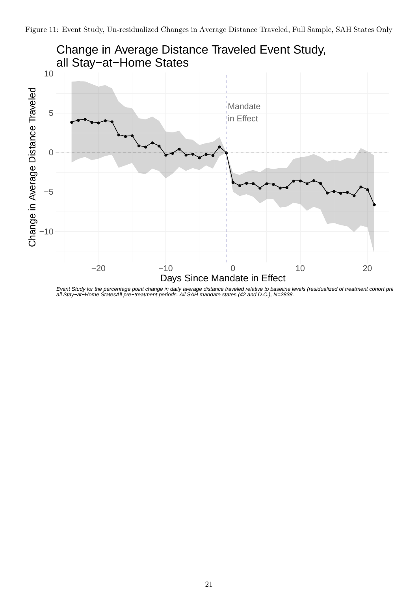

Event Study for the percentage point change in daily average distance traveled relative to baseline levels (residualized of treatment cohort pre all Stay−at−Home StatesAll pre−treatment periods, All SAH mandate states (42 and D.C.), N=2838.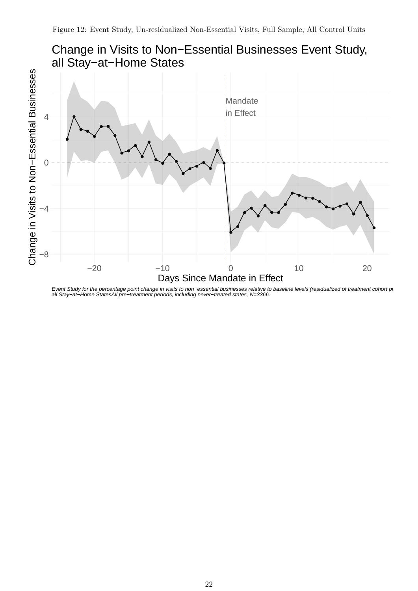

Event Study for the percentage point change in visits to non–essential businesses relative to baseline levels (residualized of treatment cohort p⊢ all Stay−at−Home StatesAll pre−treatment periods, including never−treated states, N=3366.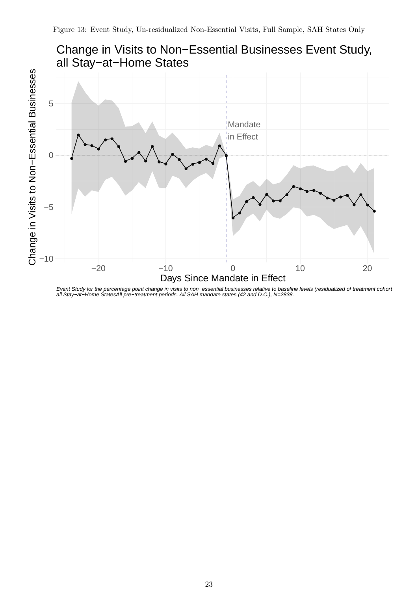

Event Study for the percentage point change in visits to non−essential businesses relative to baseline levels (residualized of treatment cohort all Stay−at−Home StatesAll pre−treatment periods, All SAH mandate states (42 and D.C.), N=2838.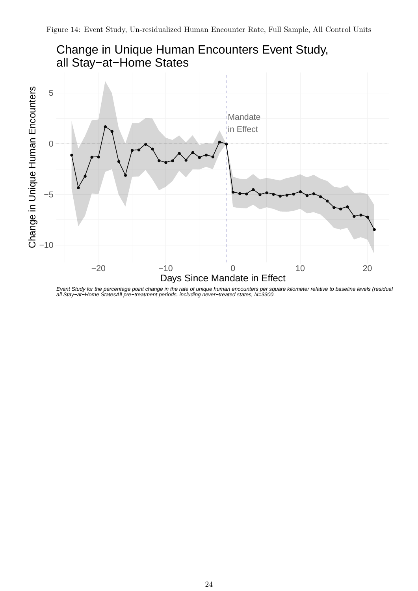

Event Study for the percentage point change in the rate of unique human encounters per square kilometer relative to baseline levels (residual all Stay−at−Home StatesAll pre−treatment periods, including never−treated states, N=3300.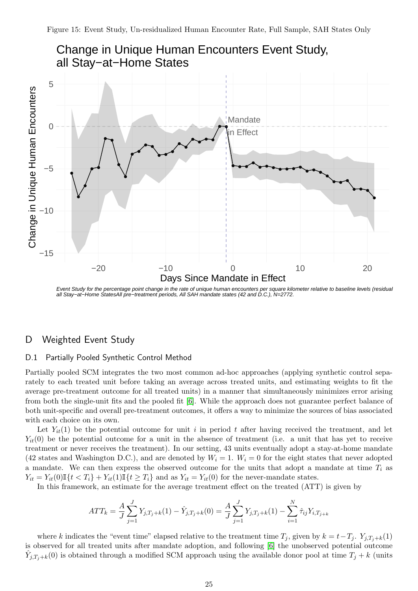<span id="page-24-0"></span>

Event Study for the percentage point change in the rate of unique human encounters per square kilometer relative to baseline levels (residual all Stay−at-Home StatesAll pre-treatment periods, All SAH mandate states (42 and D.C.), N=2772.

# D Weighted Event Study

### D.1 Partially Pooled Synthetic Control Method

Partially pooled SCM integrates the two most common ad-hoc approaches (applying synthetic control separately to each treated unit before taking an average across treated units, and estimating weights to fit the average pre-treatment outcome for all treated units) in a manner that simultaneously minimizes error arising from both the single-unit fits and the pooled fit [\[6\]](#page-38-5). While the approach does not guarantee perfect balance of both unit-specific and overall pre-treatment outcomes, it offers a way to minimize the sources of bias associated with each choice on its own.

Let  $Y_{it}(1)$  be the potential outcome for unit i in period t after having received the treatment, and let  $Y_{it}(0)$  be the potential outcome for a unit in the absence of treatment (i.e. a unit that has yet to receive treatment or never receives the treatment). In our setting, 43 units eventually adopt a stay-at-home mandate (42 states and Washington D.C.), and are denoted by  $W_i = 1$ .  $W_i = 0$  for the eight states that never adopted a mandate. We can then express the observed outcome for the units that adopt a mandate at time  $T_i$  as  $Y_{it} = Y_{it}(0) \mathbb{I} \{t \leq T_i\} + Y_{it}(1) \mathbb{I} \{t \geq T_i\}$  and as  $Y_{it} = Y_{it}(0)$  for the never-mandate states.

In this framework, an estimate for the average treatment effect on the treated (ATT) is given by

$$
ATT_k = \frac{A}{J} \sum_{j=1}^{J} Y_{j,T_j+k}(1) - \hat{Y}_{j,T_j+k}(0) = \frac{A}{J} \sum_{j=1}^{J} Y_{j,T_j+k}(1) - \sum_{i=1}^{N} \hat{\tau}_{ij} Y_{i,T_{j+k}}
$$

where k indicates the "event time" elapsed relative to the treatment time  $T_j$ , given by  $k = t - T_j$ .  $Y_{j,T_j+k}(1)$ is observed for all treated units after mandate adoption, and following [\[6\]](#page-38-5) the unobserved potential outcome  $\hat{Y}_{j,T_j+k}(0)$  is obtained through a modified SCM approach using the available donor pool at time  $T_j + k$  (units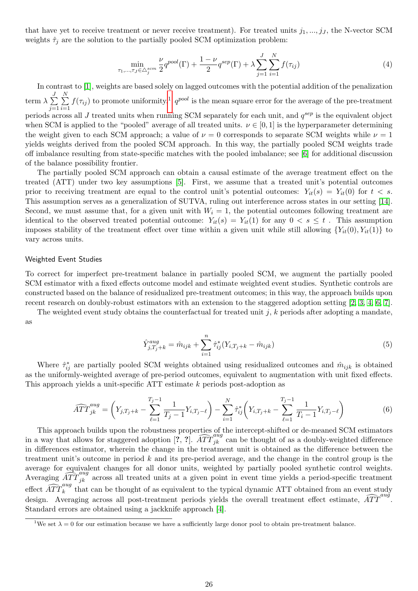that have yet to receive treatment or never receive treatment). For treated units  $j_1, ..., j_J$ , the N-vector SCM weights  $\hat{\tau}_j$  are the solution to the partially pooled SCM optimization problem:

$$
\min_{\tau_1, ..., \tau_J \in \triangle_j^{scm}} \frac{\nu}{2} q^{pool}(\Gamma) + \frac{1 - \nu}{2} q^{sep}(\Gamma) + \lambda \sum_{j=1}^J \sum_{i=1}^N f(\tau_{ij})
$$
\n(4)

In contrast to [\[1\]](#page-37-0), weights are based solely on lagged outcomes with the potential addition of the penalization term  $\lambda \sum_{i=1}^{J}$  $j=1$  $\sum_{i=1}^{N}$  $i=1$  $f(\tau_{ij})$  to promote uniformity.<sup>[1](#page-25-0)</sup>  $q^{pool}$  is the mean square error for the average of the pre-treatment periods across all J treated units when running SCM separately for each unit, and  $q^{sep}$  is the equivalent object when SCM is applied to the "pooled" average of all treated units.  $\nu \in [0, 1]$  is the hyperparameter determining the weight given to each SCM approach; a value of  $\nu = 0$  corresponds to separate SCM weights while  $\nu = 1$ yields weights derived from the pooled SCM approach. In this way, the partially pooled SCM weights trade off imbalance resulting from state-specific matches with the pooled imbalance; see [\[6\]](#page-38-5) for additional discussion of the balance possibility frontier.

The partially pooled SCM approach can obtain a causal estimate of the average treatment effect on the treated (ATT) under two key assumptions [\[5\]](#page-38-6). First, we assume that a treated unit's potential outcomes prior to receiving treatment are equal to the control unit's potential outcomes:  $Y_{it}(s) = Y_{it}(0)$  for  $t < s$ . This assumption serves as a generalization of SUTVA, ruling out interference across states in our setting [\[14\]](#page-38-7). Second, we must assume that, for a given unit with  $W<sub>i</sub> = 1$ , the potential outcomes following treatment are identical to the observed treated potential outcome:  $Y_{it}(s) = Y_{it}(1)$  for any  $0 < s \leq t$ . This assumption imposes stability of the treatment effect over time within a given unit while still allowing  ${Y_{it}(0), Y_{it}(1)}$  to vary across units.

#### Weighted Event Studies

To correct for imperfect pre-treatment balance in partially pooled SCM, we augment the partially pooled SCM estimator with a fixed effects outcome model and estimate weighted event studies. Synthetic controls are constructed based on the balance of residualized pre-treatment outcomes; in this way, the approach builds upon recent research on doubly-robust estimators with an extension to the staggered adoption setting [\[2,](#page-38-8) [3,](#page-38-9) [4,](#page-38-10) [6,](#page-38-5) [7\]](#page-38-11).

The weighted event study obtains the counterfactual for treated unit  $j$ ,  $k$  periods after adopting a mandate, as

$$
\hat{Y}_{j,T_j+k}^{aug} = \hat{m}_{ijk} + \sum_{i=1}^{n} \hat{\tau}_{ij}^*(Y_{i,T_j+k} - \hat{m}_{ijk})
$$
\n(5)

Where  $\hat{\tau}_{ij}^*$  are partially pooled SCM weights obtained using residualized outcomes and  $\hat{m}_{ijk}$  is obtained as the uniformly-weighted average of pre-period outcomes, equivalent to augmentation with unit fixed effects. This approach yields a unit-specific ATT estimate k periods post-adoption as

$$
\widehat{ATT}_{jk}^{aug} = \left(Y_{j,T_j+k} - \sum_{\ell=1}^{T_j-1} \frac{1}{T_j-1} Y_{i,T_j-\ell}\right) - \sum_{i=1}^{N} \widehat{\tau}_{ij}^* \left(Y_{i,T_j+k} - \sum_{\ell=1}^{T_j-1} \frac{1}{T_i-1} Y_{i,T_j-\ell}\right) \tag{6}
$$

This approach builds upon the robustness properties of the intercept-shifted or de-meaned SCM estimators in a way that allows for staggered adoption  $[?, ?]$ .  $\widehat{ATT}_{jk}^{aug}$  can be thought of as a doubly-weighted difference in differences estimator, wherein the change in the treatment unit is obtained as the difference between the treatment unit's outcome in period k and its pre-period average, and the change in the control group is the average for equivalent changes for all donor units, weighted by partially pooled synthetic control weights. Averaging  $\widehat{ATT}_{jk}^{aug}$  across all treated units at a given point in event time yields a period-specific treatment effect  $\widehat{ATT}_{k}^{aug}$  that can be thought of as equivalent to the typical dynamic ATT obtained from an event study design. Averaging across all post-treatment periods yields the overall treatment effect estimate,  $\widehat{ATT}^{aug}$ . Standard errors are obtained using a jackknife approach [\[4\]](#page-38-10).

<span id="page-25-0"></span><sup>&</sup>lt;sup>1</sup>We set  $\lambda = 0$  for our estimation because we have a sufficiently large donor pool to obtain pre-treatment balance.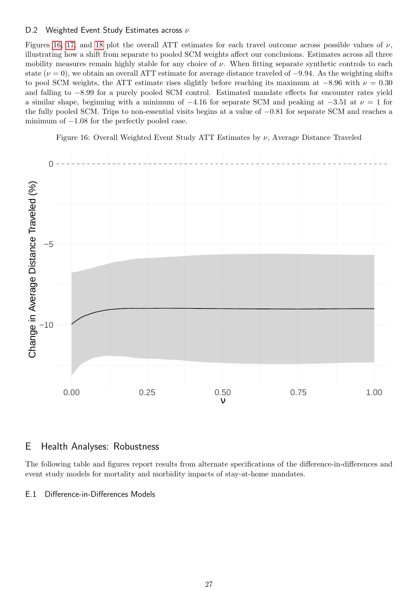### D.2 Weighted Event Study Estimates across  $\nu$

Figures [16,](#page-26-0) [17,](#page-29-0) and [18](#page-30-0) plot the overall ATT estimates for each travel outcome across possible values of  $\nu$ , illustrating how a shift from separate to pooled SCM weights affect our conclusions. Estimates across all three mobility measures remain highly stable for any choice of  $\nu$ . When fitting separate synthetic controls to each state ( $\nu = 0$ ), we obtain an overall ATT estimate for average distance traveled of  $-9.94$ . As the weighting shifts to pool SCM weights, the ATT estimate rises slightly before reaching its maximum at  $-8.96$  with  $\nu = 0.30$ and falling to −8.99 for a purely pooled SCM control. Estimated mandate effects for encounter rates yield a similar shape, beginning with a minimum of  $-4.16$  for separate SCM and peaking at  $-3.51$  at  $\nu = 1$  for the fully pooled SCM. Trips to non-essential visits begins at a value of −0.81 for separate SCM and reaches a minimum of  $-1.08$  for the perfectly pooled case.

Figure 16: Overall Weighted Event Study ATT Estimates by  $\nu$ , Average Distance Traveled

<span id="page-26-0"></span>

# E Health Analyses: Robustness

The following table and figures report results from alternate specifications of the difference-in-differences and event study models for mortality and morbidity impacts of stay-at-home mandates.

E.1 Difference-in-Differences Models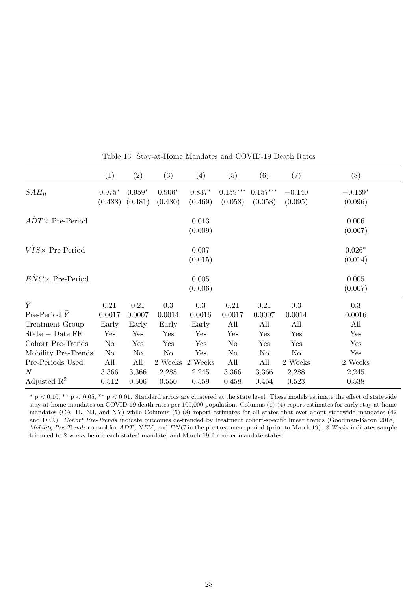|                         | (1)                 | (2)                 | (3)                 | $\left( 4\right)$   | (5)                   | (6)                   | (7)                 | (8)                  |
|-------------------------|---------------------|---------------------|---------------------|---------------------|-----------------------|-----------------------|---------------------|----------------------|
| $SAH_{it}$              | $0.975*$<br>(0.488) | $0.959*$<br>(0.481) | $0.906*$<br>(0.480) | $0.837*$<br>(0.469) | $0.159***$<br>(0.058) | $0.157***$<br>(0.058) | $-0.140$<br>(0.095) | $-0.169*$<br>(0.096) |
| $ADT \times Pre-Period$ |                     |                     |                     | 0.013<br>(0.009)    |                       |                       |                     | 0.006<br>(0.007)     |
| $VIS \times Pre-Period$ |                     |                     |                     | 0.007<br>(0.015)    |                       |                       |                     | $0.026*$<br>(0.014)  |
| $ENC \times Pre-Period$ |                     |                     |                     | 0.005<br>(0.006)    |                       |                       |                     | 0.005<br>(0.007)     |
| $\bar{Y}$               | 0.21                | 0.21                | 0.3                 | 0.3                 | 0.21                  | 0.21                  | 0.3                 | 0.3                  |
| Pre-Period $\bar{Y}$    | 0.0017              | 0.0007              | 0.0014              | 0.0016              | 0.0017                | 0.0007                | 0.0014              | 0.0016               |
| Treatment Group         | Early               | Early               | Early               | Early               | All                   | All                   | All                 | All                  |
| $State + Date FE$       | Yes                 | Yes                 | Yes                 | Yes                 | Yes                   | Yes                   | Yes                 | Yes                  |
| Cohort Pre-Trends       | N <sub>o</sub>      | Yes                 | Yes                 | Yes                 | N <sub>o</sub>        | Yes                   | Yes                 | Yes                  |
| Mobility Pre-Trends     | N <sub>o</sub>      | No                  | No                  | Yes                 | No                    | No                    | N <sub>o</sub>      | Yes                  |
| Pre-Periods Used        | All                 | All                 | 2 Weeks             | 2 Weeks             | All                   | All                   | 2 Weeks             | 2 Weeks              |
| $\boldsymbol{N}$        | 3,366               | 3,366               | 2,288               | 2,245               | 3,366                 | 3,366                 | 2,288               | 2,245                |
| Adjusted $\mathbb{R}^2$ | 0.512               | 0.506               | 0.550               | 0.559               | 0.458                 | 0.454                 | 0.523               | 0.538                |

Table 13: Stay-at-Home Mandates and COVID-19 Death Rates

 $*$  p  $< 0.10$ ,  $**$  p  $< 0.05$ ,  $**$  p  $< 0.01$ . Standard errors are clustered at the state level. These models estimate the effect of statewide stay-at-home mandates on COVID-19 death rates per 100,000 population. Columns (1)-(4) report estimates for early stay-at-home mandates (CA, IL, NJ, and NY) while Columns (5)-(8) report estimates for all states that ever adopt statewide mandates (42 and D.C.). Cohort Pre-Trends indicate outcomes de-trended by treatment cohort-specific linear trends (Goodman-Bacon 2018). Mobility Pre-Trends control for  $ADT$ ,  $NEV$ , and  $ENC$  in the pre-treatment period (prior to March 19). 2 Weeks indicates sample trimmed to 2 weeks before each states' mandate, and March 19 for never-mandate states.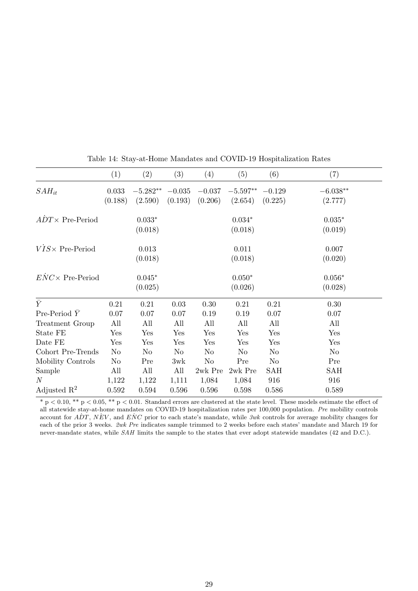|                           | (1)            | (2)        | (3)      | (4)       | (5)        | (6)            | (7)            |
|---------------------------|----------------|------------|----------|-----------|------------|----------------|----------------|
| $SAH_{it}$                | 0.033          | $-5.282**$ | $-0.035$ | $-0.037$  | $-5.597**$ | $-0.129$       | $-6.038**$     |
|                           | (0.188)        | (2.590)    | (0.193)  | (0.206)   | (2.654)    | (0.225)        | (2.777)        |
| $ADT \times$ Pre-Period   |                | $0.033*$   |          |           | $0.034*$   |                | $0.035*$       |
|                           |                | (0.018)    |          |           | (0.018)    |                | (0.019)        |
| $VIS \times Pre-Period$   |                | 0.013      |          |           | 0.011      |                | 0.007          |
|                           |                | (0.018)    |          |           | (0.018)    |                | (0.020)        |
| $ENC \times Pre-Period$   |                | $0.045*$   |          |           | $0.050*$   |                | $0.056*$       |
|                           |                | (0.025)    |          |           | (0.026)    |                | (0.028)        |
| $\overline{\overline{Y}}$ | 0.21           | 0.21       | 0.03     | 0.30      | 0.21       | 0.21           | 0.30           |
| Pre-Period $\bar{Y}$      | 0.07           | 0.07       | 0.07     | 0.19      | 0.19       | 0.07           | 0.07           |
| Treatment Group           | All            | All        | All      | All       | All        | All            | All            |
| State FE                  | Yes            | Yes        | Yes      | Yes       | Yes        | Yes            | Yes            |
| Date FE                   | Yes            | Yes        | Yes      | Yes       | Yes        | Yes            | Yes            |
| Cohort Pre-Trends         | N <sub>o</sub> | No         | $\rm No$ | No        | No         | N <sub>o</sub> | N <sub>o</sub> |
| Mobility Controls         | $\rm No$       | Pre        | 3wk      | $\rm No$  | Pre        | $\rm No$       | Pre            |
| Sample                    | All            | All        | All      | 2wk Pre   | 2wk Pre    | <b>SAH</b>     | <b>SAH</b>     |
| $\mathcal N$              | 1,122          | 1,122      | 1,111    | 1,084     | 1,084      | 916            | 916            |
| Adjusted $\mathbb{R}^2$   | 0.592          | 0.594      | 0.596    | $0.596\,$ | 0.598      | 0.586          | 0.589          |

Table 14: Stay-at-Home Mandates and COVID-19 Hospitalization Rates

 $* p < 0.10, ** p < 0.05, ** p < 0.01$ . Standard errors are clustered at the state level. These models estimate the effect of all statewide stay-at-home mandates on COVID-19 hospitalization rates per 100,000 population. Pre mobility controls account for  $ADT$ ,  $NEV$ , and  $ENC$  prior to each state's mandate, while 3wk controls for average mobility changes for each of the prior 3 weeks. 2wk Pre indicates sample trimmed to 2 weeks before each states' mandate and March 19 for never-mandate states, while SAH limits the sample to the states that ever adopt statewide mandates (42 and D.C.).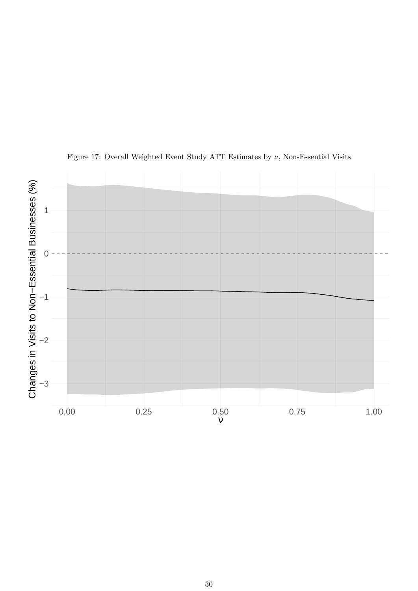<span id="page-29-0"></span>

Figure 17: Overall Weighted Event Study ATT Estimates by  $\nu$ , Non-Essential Visits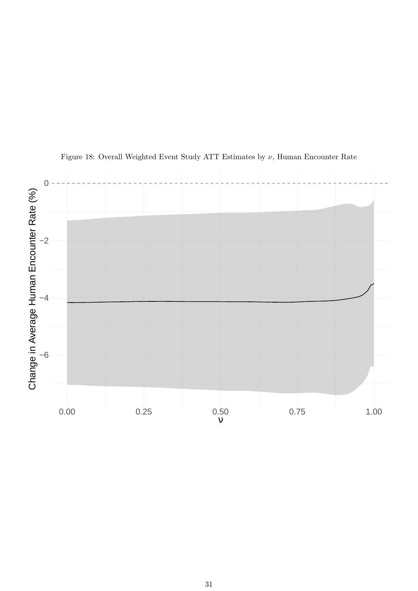<span id="page-30-0"></span>

Figure 18: Overall Weighted Event Study ATT Estimates by  $\nu$ , Human Encounter Rate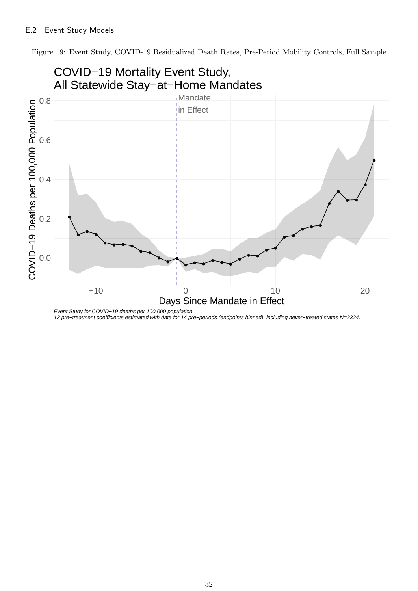Figure 19: Event Study, COVID-19 Residualized Death Rates, Pre-Period Mobility Controls, Full Sample



Event Study for COVID−19 deaths per 100,000 population. 13 pre−treatment coefficients estimated with data for 14 pre−periods (endpoints binned). including never−treated states N=2324.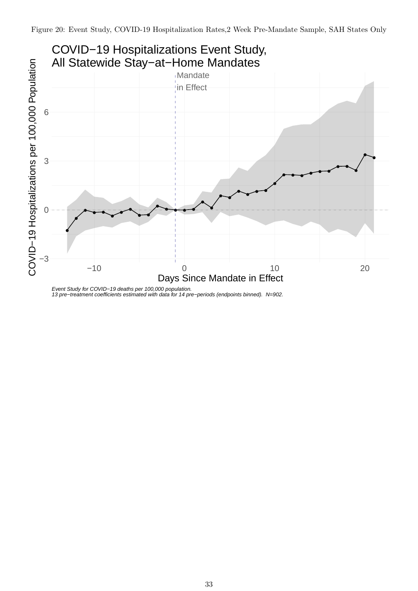

<sup>13</sup> pre−treatment coefficients estimated with data for 14 pre−periods (endpoints binned). N=902.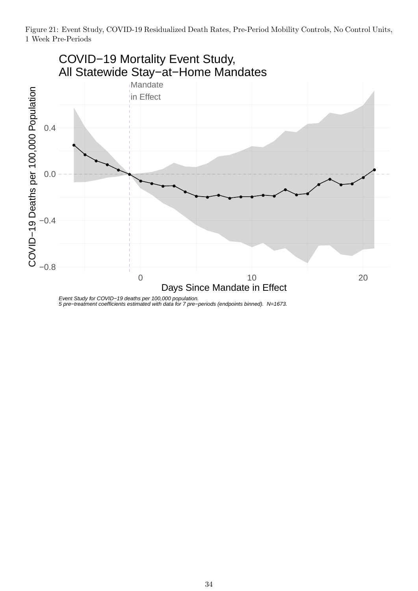

Event Study for COVID−19 deaths per 100,000 population. 5 pre−treatment coefficients estimated with data for 7 pre−periods (endpoints binned). N=1673.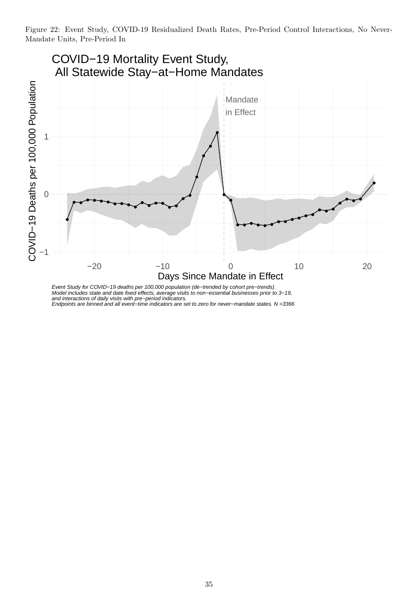Figure 22: Event Study, COVID-19 Residualized Death Rates, Pre-Period Control Interactions, No Never-Mandate Units, Pre-Period In



Model includes state and date fixed effects, average visits to non−essential businesses prior to 3−19, and interactions of daily visits with pre−period indicators.

Endpoints are binned and all event−time indicators are set to zero for never−mandate states. N =3366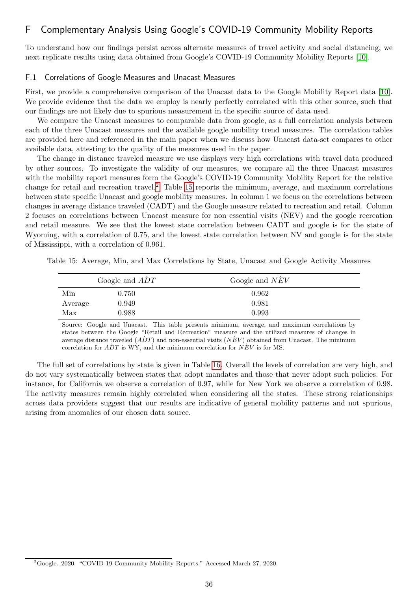# F Complementary Analysis Using Google's COVID-19 Community Mobility Reports

To understand how our findings persist across alternate measures of travel activity and social distancing, we next replicate results using data obtained from Google's COVID-19 Community Mobility Reports [\[10\]](#page-38-12).

### F.1 Correlations of Google Measures and Unacast Measures

First, we provide a comprehensive comparison of the Unacast data to the Google Mobility Report data [\[10\]](#page-38-12). We provide evidence that the data we employ is nearly perfectly correlated with this other source, such that our findings are not likely due to spurious measurement in the specific source of data used.

We compare the Unacast measures to comparable data from google, as a full correlation analysis between each of the three Unacast measures and the available google mobility trend measures. The correlation tables are provided here and referenced in the main paper when we discuss how Unacast data-set compares to other available data, attesting to the quality of the measures used in the paper.

The change in distance traveled measure we use displays very high correlations with travel data produced by other sources. To investigate the validity of our measures, we compare all the three Unacast measures with the mobility report measures form the Google's COVID-19 Community Mobility Report for the relative change for retail and recreation travel.<sup>[2](#page-35-0)</sup> Table [15](#page-35-1) reports the minimum, average, and maximum correlations between state specific Unacast and google mobility measures. In column 1 we focus on the correlations between changes in average distance traveled (CADT) and the Google measure related to recreation and retail. Column 2 focuses on correlations between Unacast measure for non essential visits (NEV) and the google recreation and retail measure. We see that the lowest state correlation between CADT and google is for the state of Wyoming, with a correlation of 0.75, and the lowest state correlation between NV and google is for the state of Mississippi, with a correlation of 0.961.

<span id="page-35-1"></span>Table 15: Average, Min, and Max Correlations by State, Unacast and Google Activity Measures

|         | Google and ADT | Google and $NEV$ |
|---------|----------------|------------------|
| Min     | 0.750          | 0.962            |
| Average | 0.949          | 0.981            |
| Max     | 0.988          | 0.993            |

Source: Google and Unacast. This table presents minimum, average, and maximum correlations by states between the Google "Retail and Recreation" measure and the utilized measures of changes in average distance traveled  $(\overline{ADT})$  and non-essential visits  $(\overline{NEV})$  obtained from Unacast. The minimum correlation for  $\overline{ADT}$  is WY, and the minimum correlation for  $\overline{NEV}$  is for MS.

The full set of correlations by state is given in Table [16.](#page-36-0) Overall the levels of correlation are very high, and do not vary systematically between states that adopt mandates and those that never adopt such policies. For instance, for California we observe a correlation of 0.97, while for New York we observe a correlation of 0.98. The activity measures remain highly correlated when considering all the states. These strong relationships across data providers suggest that our results are indicative of general mobility patterns and not spurious, arising from anomalies of our chosen data source.

<span id="page-35-0"></span><sup>2</sup>Google. 2020. "COVID-19 Community Mobility Reports." Accessed March 27, 2020.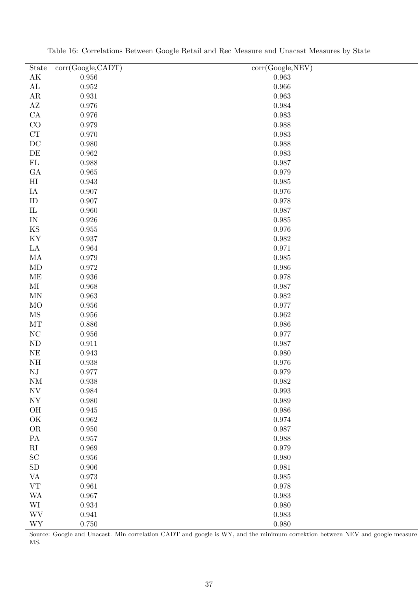<span id="page-36-0"></span>

| State                                        | corr(Google, CADT) | $\overline{\text{corr}(\text{Google}, \text{NEW})}$ |
|----------------------------------------------|--------------------|-----------------------------------------------------|
| $\mathbf{A}\mathbf{K}$                       | $0.956\,$          | 0.963                                               |
| $\mathbf{AL}$                                | $\,0.952\,$        | 0.966                                               |
| $\rm{AR}$                                    | 0.931              | 0.963                                               |
| $\mathbf{A}\mathbf{Z}$                       | $0.976\,$          | 0.984                                               |
| ${\rm CA}$                                   | $0.976\,$          | 0.983                                               |
| CO                                           | 0.979              | 0.988                                               |
| ${\cal CT}$                                  | $0.970\,$          | 0.983                                               |
| DC                                           | $0.980\,$          | 0.988                                               |
| DE                                           | $\,0.962\,$        | 0.983                                               |
| ${\rm FL}$                                   | $\,0.988\,$        | 0.987                                               |
| GA                                           | $\,0.965\,$        | 0.979                                               |
| $\rm HI$                                     | $\,0.943\,$        | 0.985                                               |
| IA                                           | $0.907\,$          | 0.976                                               |
| ID                                           | $0.907\,$          | 0.978                                               |
| ${\rm IL}$                                   | $0.960\,$          | 0.987                                               |
| $\ensuremath{\text{IN}}$                     | $0.926\,$          | 0.985                                               |
| KS                                           | $\,0.955\,$        | 0.976                                               |
| KY                                           | $0.937\,$          | 0.982                                               |
| $\rm{LA}$                                    | $\,0.964\,$        | 0.971                                               |
| MA                                           | $0.979\,$          | 0.985                                               |
| MD                                           | $0.972\,$          | 0.986                                               |
| ME                                           | $\,0.936\,$        | 0.978                                               |
| $\rm MI$                                     | $\,0.968\,$        | 0.987                                               |
| <b>MN</b>                                    | $\,0.963\,$        | 0.982                                               |
| MO                                           | $0.956\,$          | 0.977                                               |
| MS                                           | $\,0.956\,$        | 0.962                                               |
| MT                                           | $0.886\,$          | 0.986                                               |
| $\rm NC$                                     | $\,0.956\,$        | 0.977                                               |
| ND                                           | 0.911              | 0.987                                               |
| $\rm NE$                                     | $\,0.943\,$        | 0.980                                               |
| NH                                           | $\,0.938\,$        | 0.976                                               |
| NJ                                           | 0.977              | 0.979                                               |
| <b>NM</b>                                    | 0.938              | 0.982                                               |
| $\ensuremath{\text{NV}}$                     | $\,0.984\,$        | 0.993                                               |
| ${\rm NY}$                                   | $0.980\,$          | 0.989                                               |
| OH                                           | $\,0.945\,$        | 0.986                                               |
| OK                                           | $\,0.962\,$        | 0.974                                               |
| ${\rm OR}$                                   | $0.950\,$          | 0.987                                               |
| ${\rm PA}$                                   | 0.957              | 0.988                                               |
| $\mathbf{R}\mathbf{I}$                       | 0.969              | 0.979                                               |
| SC                                           | $0.956\,$          | 0.980                                               |
| ${\rm SD}$                                   | $0.906\,$          | 0.981                                               |
| <b>VA</b>                                    | 0.973              | 0.985                                               |
| ${\rm VT}$                                   | 0.961              | 0.978                                               |
| <b>WA</b>                                    | 0.967              | 0.983                                               |
| $\mbox{WI}$                                  | $\,0.934\,$        | 0.980                                               |
| $\ensuremath{\text{W}}\ensuremath{\text{V}}$ | 0.941              | 0.983                                               |
| $\ensuremath{\text{WY}}$                     | $0.750\,$          | 0.980                                               |

Table 16: Correlations Between Google Retail and Rec Measure and Unacast Measures by State

Source: Google and Unacast. Min correlation CADT and google is WY, and the minimum correktion between NEV and google measure MS.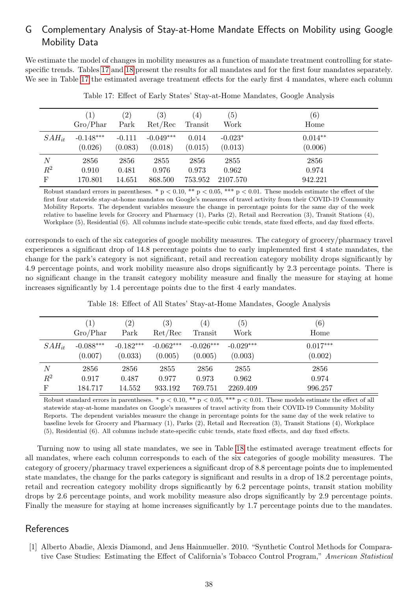# G Complementary Analysis of Stay-at-Home Mandate Effects on Mobility using Google Mobility Data

We estimate the model of changes in mobility measures as a function of mandate treatment controlling for statespecific trends. Tables [17](#page-37-1) and [18](#page-37-2) present the results for all mandates and for the first four mandates separately. We see in Table [17](#page-37-1) the estimated average treatment effects for the early first 4 mandates, where each column

<span id="page-37-1"></span>

|                | $\left(1\right)$<br>Gro/Phar | $\left( 2\right)$<br>Park | $\left( 3\right)$<br>Ret/Rec | (4)<br>Transit   | (5)<br>Work          | (6)<br>Home          |
|----------------|------------------------------|---------------------------|------------------------------|------------------|----------------------|----------------------|
| $SAH_{it}$     | $-0.148***$<br>(0.026)       | $-0.111$<br>(0.083)       | $-0.049***$<br>(0.018)       | 0.014<br>(0.015) | $-0.023*$<br>(0.013) | $0.014**$<br>(0.006) |
| N              | 2856                         | 2856                      | 2855                         | 2856             | 2855                 | 2856                 |
| $\mathbb{R}^2$ | 0.910                        | 0.481                     | 0.976                        | 0.973            | 0.962                | 0.974                |
| F              | 170.801                      | 14.651                    | 868.500                      | 753.952          | 2107.570             | 942.221              |

Table 17: Effect of Early States' Stay-at-Home Mandates, Google Analysis

Robust standard errors in parentheses. \*  $p < 0.10$ , \*\*  $p < 0.05$ , \*\*\*  $p < 0.01$ . These models estimate the effect of the first four statewide stay-at-home mandates on Google's measures of travel activity from their COVID-19 Community Mobility Reports. The dependent variables measure the change in percentage points for the same day of the week relative to baseline levels for Grocery and Pharmacy (1), Parks (2), Retail and Recreation (3), Transit Stations (4), Workplace (5), Residential (6). All columns include state-specific cubic trends, state fixed effects, and day fixed effects.

corresponds to each of the six categories of google mobility measures. The category of grocery/pharmacy travel experiences a significant drop of 14.8 percentage points due to early implemented first 4 state mandates, the change for the park's category is not significant, retail and recreation category mobility drops significantly by 4.9 percentage points, and work mobility measure also drops significantly by 2.3 percentage points. There is no significant change in the transit category mobility measure and finally the measure for staying at home increases significantly by 1.4 percentage points due to the first 4 early mandates.

<span id="page-37-2"></span>

|                | $\left(1\right)$ | $\left( 2\right)$ | (3)         | $\left( 4\right)$ | (5)         | (6)        |
|----------------|------------------|-------------------|-------------|-------------------|-------------|------------|
|                | Gro/Phar         | Park              | Ret/Rec     | Transit           | Work        | Home       |
| $SAH_{it}$     | $-0.088***$      | $-0.182***$       | $-0.062***$ | $-0.026***$       | $-0.029***$ | $0.017***$ |
|                | (0.007)          | (0.033)           | (0.005)     | (0.005)           | (0.003)     | (0.002)    |
| $\overline{N}$ | 2856             | 2856              | 2855        | 2856              | 2855        | 2856       |
| $R^2$          | 0.917            | 0.487             | 0.977       | 0.973             | 0.962       | 0.974      |
| $\mathbf F$    | 184.717          | 14.552            | 933.192     | 769.751           | 2269.409    | 996.257    |

Table 18: Effect of All States' Stay-at-Home Mandates, Google Analysis

Robust standard errors in parentheses. \* p < 0.10, \*\* p < 0.05, \*\*\* p < 0.01. These models estimate the effect of all statewide stay-at-home mandates on Google's measures of travel activity from their COVID-19 Community Mobility Reports. The dependent variables measure the change in percentage points for the same day of the week relative to baseline levels for Grocery and Pharmacy (1), Parks (2), Retail and Recreation (3), Transit Stations (4), Workplace (5), Residential (6). All columns include state-specific cubic trends, state fixed effects, and day fixed effects.

Turning now to using all state mandates, we see in Table [18](#page-37-2) the estimated average treatment effects for all mandates, where each column corresponds to each of the six categories of google mobility measures. The category of grocery/pharmacy travel experiences a significant drop of 8.8 percentage points due to implemented state mandates, the change for the parks category is significant and results in a drop of 18.2 percentage points, retail and recreation category mobility drops significantly by 6.2 percentage points, transit station mobility drops by 2.6 percentage points, and work mobility measure also drops significantly by 2.9 percentage points. Finally the measure for staying at home increases significantly by 1.7 percentage points due to the mandates.

## References

<span id="page-37-0"></span>[1] Alberto Abadie, Alexis Diamond, and Jens Hainmueller. 2010. "Synthetic Control Methods for Comparative Case Studies: Estimating the Effect of California's Tobacco Control Program," American Statistical